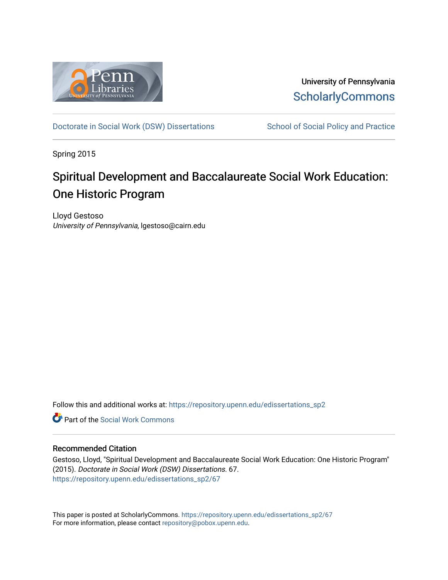

University of Pennsylvania **ScholarlyCommons** 

[Doctorate in Social Work \(DSW\) Dissertations](https://repository.upenn.edu/edissertations_sp2) School of Social Policy and Practice

Spring 2015

# Spiritual Development and Baccalaureate Social Work Education: One Historic Program

Lloyd Gestoso University of Pennsylvania, lgestoso@cairn.edu

Follow this and additional works at: [https://repository.upenn.edu/edissertations\\_sp2](https://repository.upenn.edu/edissertations_sp2?utm_source=repository.upenn.edu%2Fedissertations_sp2%2F67&utm_medium=PDF&utm_campaign=PDFCoverPages) 

**C** Part of the [Social Work Commons](http://network.bepress.com/hgg/discipline/713?utm_source=repository.upenn.edu%2Fedissertations_sp2%2F67&utm_medium=PDF&utm_campaign=PDFCoverPages)

#### Recommended Citation

Gestoso, Lloyd, "Spiritual Development and Baccalaureate Social Work Education: One Historic Program" (2015). Doctorate in Social Work (DSW) Dissertations. 67. [https://repository.upenn.edu/edissertations\\_sp2/67](https://repository.upenn.edu/edissertations_sp2/67?utm_source=repository.upenn.edu%2Fedissertations_sp2%2F67&utm_medium=PDF&utm_campaign=PDFCoverPages)

This paper is posted at ScholarlyCommons. [https://repository.upenn.edu/edissertations\\_sp2/67](https://repository.upenn.edu/edissertations_sp2/67)  For more information, please contact [repository@pobox.upenn.edu.](mailto:repository@pobox.upenn.edu)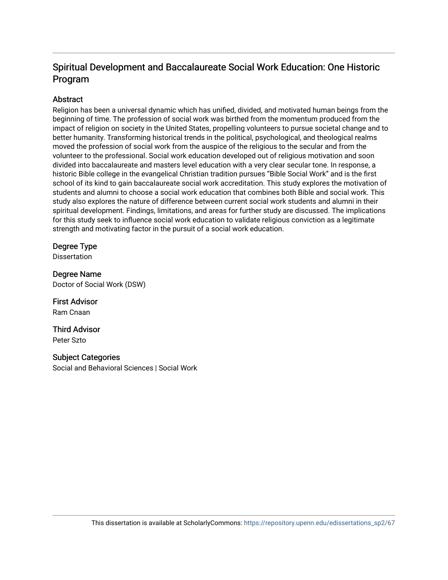## Spiritual Development and Baccalaureate Social Work Education: One Historic Program

## **Abstract**

Religion has been a universal dynamic which has unified, divided, and motivated human beings from the beginning of time. The profession of social work was birthed from the momentum produced from the impact of religion on society in the United States, propelling volunteers to pursue societal change and to better humanity. Transforming historical trends in the political, psychological, and theological realms moved the profession of social work from the auspice of the religious to the secular and from the volunteer to the professional. Social work education developed out of religious motivation and soon divided into baccalaureate and masters level education with a very clear secular tone. In response, a historic Bible college in the evangelical Christian tradition pursues "Bible Social Work" and is the first school of its kind to gain baccalaureate social work accreditation. This study explores the motivation of students and alumni to choose a social work education that combines both Bible and social work. This study also explores the nature of difference between current social work students and alumni in their spiritual development. Findings, limitations, and areas for further study are discussed. The implications for this study seek to influence social work education to validate religious conviction as a legitimate strength and motivating factor in the pursuit of a social work education.

## Degree Type

**Dissertation** 

Degree Name Doctor of Social Work (DSW)

First Advisor Ram Cnaan

Third Advisor Peter Szto

## Subject Categories

Social and Behavioral Sciences | Social Work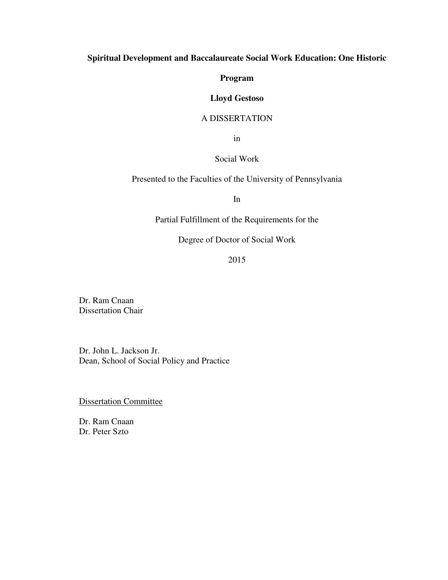## **Spiritual Development and Baccalaureate Social Work Education: One Historic**

**Program** 

## **Lloyd Gestoso**

### A DISSERTATION

in

## Social Work

Presented to the Faculties of the University of Pennsylvania

In

Partial Fulfillment of the Requirements for the

Degree of Doctor of Social Work

2015

Dr. Ram Cnaan Dissertation Chair

Dr. John L. Jackson Jr. Dean, School of Social Policy and Practice

Dissertation Committee

Dr. Ram Cnaan Dr. Peter Szto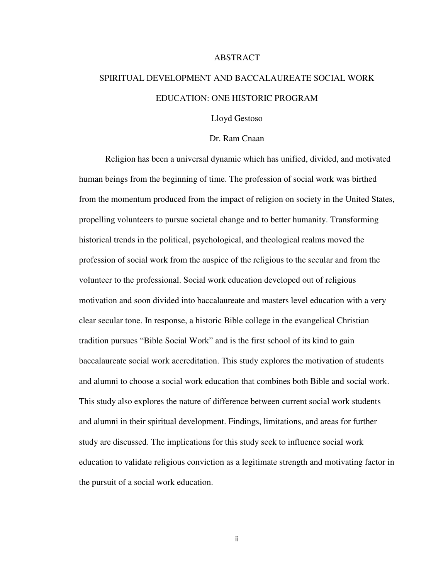#### ABSTRACT

# SPIRITUAL DEVELOPMENT AND BACCALAUREATE SOCIAL WORK EDUCATION: ONE HISTORIC PROGRAM

Lloyd Gestoso

#### Dr. Ram Cnaan

Religion has been a universal dynamic which has unified, divided, and motivated human beings from the beginning of time. The profession of social work was birthed from the momentum produced from the impact of religion on society in the United States, propelling volunteers to pursue societal change and to better humanity. Transforming historical trends in the political, psychological, and theological realms moved the profession of social work from the auspice of the religious to the secular and from the volunteer to the professional. Social work education developed out of religious motivation and soon divided into baccalaureate and masters level education with a very clear secular tone. In response, a historic Bible college in the evangelical Christian tradition pursues "Bible Social Work" and is the first school of its kind to gain baccalaureate social work accreditation. This study explores the motivation of students and alumni to choose a social work education that combines both Bible and social work. This study also explores the nature of difference between current social work students and alumni in their spiritual development. Findings, limitations, and areas for further study are discussed. The implications for this study seek to influence social work education to validate religious conviction as a legitimate strength and motivating factor in the pursuit of a social work education.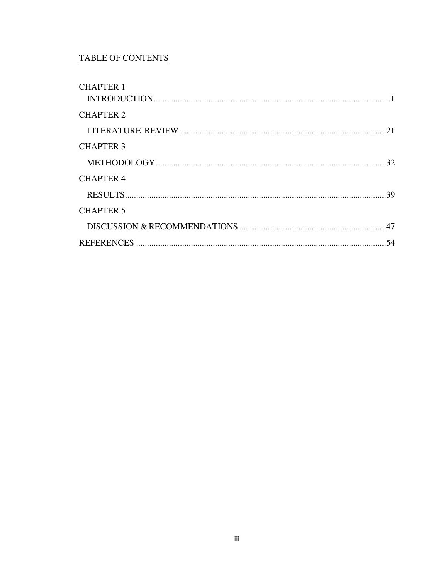## **TABLE OF CONTENTS**

| <b>CHAPTER 1</b> |  |
|------------------|--|
| <b>CHAPTER 2</b> |  |
|                  |  |
| <b>CHAPTER 3</b> |  |
|                  |  |
| <b>CHAPTER 4</b> |  |
|                  |  |
| <b>CHAPTER 5</b> |  |
|                  |  |
|                  |  |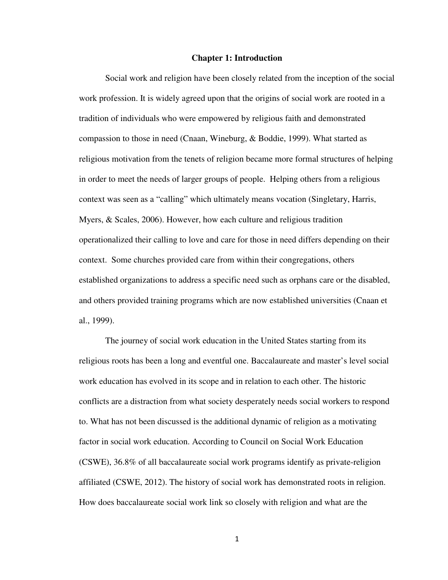#### **Chapter 1: Introduction**

Social work and religion have been closely related from the inception of the social work profession. It is widely agreed upon that the origins of social work are rooted in a tradition of individuals who were empowered by religious faith and demonstrated compassion to those in need (Cnaan, Wineburg, & Boddie, 1999). What started as religious motivation from the tenets of religion became more formal structures of helping in order to meet the needs of larger groups of people. Helping others from a religious context was seen as a "calling" which ultimately means vocation (Singletary, Harris, Myers, & Scales, 2006). However, how each culture and religious tradition operationalized their calling to love and care for those in need differs depending on their context. Some churches provided care from within their congregations, others established organizations to address a specific need such as orphans care or the disabled, and others provided training programs which are now established universities (Cnaan et al., 1999).

The journey of social work education in the United States starting from its religious roots has been a long and eventful one. Baccalaureate and master's level social work education has evolved in its scope and in relation to each other. The historic conflicts are a distraction from what society desperately needs social workers to respond to. What has not been discussed is the additional dynamic of religion as a motivating factor in social work education. According to Council on Social Work Education (CSWE), 36.8% of all baccalaureate social work programs identify as private-religion affiliated (CSWE, 2012). The history of social work has demonstrated roots in religion. How does baccalaureate social work link so closely with religion and what are the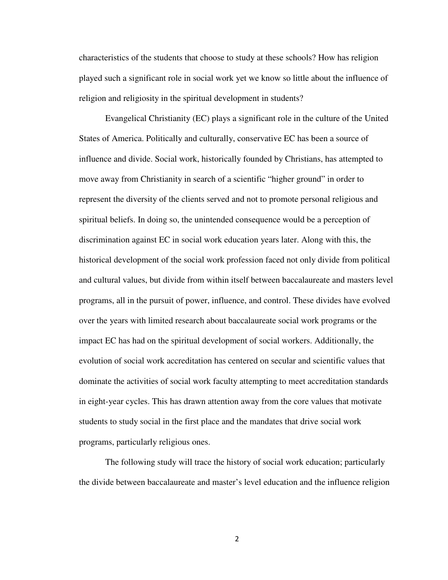characteristics of the students that choose to study at these schools? How has religion played such a significant role in social work yet we know so little about the influence of religion and religiosity in the spiritual development in students?

 Evangelical Christianity (EC) plays a significant role in the culture of the United States of America. Politically and culturally, conservative EC has been a source of influence and divide. Social work, historically founded by Christians, has attempted to move away from Christianity in search of a scientific "higher ground" in order to represent the diversity of the clients served and not to promote personal religious and spiritual beliefs. In doing so, the unintended consequence would be a perception of discrimination against EC in social work education years later. Along with this, the historical development of the social work profession faced not only divide from political and cultural values, but divide from within itself between baccalaureate and masters level programs, all in the pursuit of power, influence, and control. These divides have evolved over the years with limited research about baccalaureate social work programs or the impact EC has had on the spiritual development of social workers. Additionally, the evolution of social work accreditation has centered on secular and scientific values that dominate the activities of social work faculty attempting to meet accreditation standards in eight-year cycles. This has drawn attention away from the core values that motivate students to study social in the first place and the mandates that drive social work programs, particularly religious ones.

 The following study will trace the history of social work education; particularly the divide between baccalaureate and master's level education and the influence religion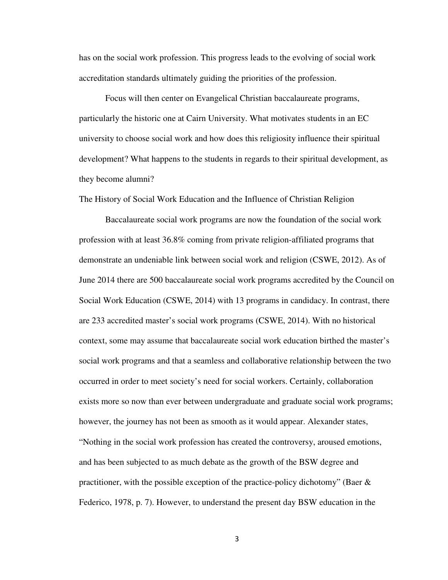has on the social work profession. This progress leads to the evolving of social work accreditation standards ultimately guiding the priorities of the profession.

 Focus will then center on Evangelical Christian baccalaureate programs, particularly the historic one at Cairn University. What motivates students in an EC university to choose social work and how does this religiosity influence their spiritual development? What happens to the students in regards to their spiritual development, as they become alumni?

The History of Social Work Education and the Influence of Christian Religion

Baccalaureate social work programs are now the foundation of the social work profession with at least 36.8% coming from private religion-affiliated programs that demonstrate an undeniable link between social work and religion (CSWE, 2012). As of June 2014 there are 500 baccalaureate social work programs accredited by the Council on Social Work Education (CSWE, 2014) with 13 programs in candidacy. In contrast, there are 233 accredited master's social work programs (CSWE, 2014). With no historical context, some may assume that baccalaureate social work education birthed the master's social work programs and that a seamless and collaborative relationship between the two occurred in order to meet society's need for social workers. Certainly, collaboration exists more so now than ever between undergraduate and graduate social work programs; however, the journey has not been as smooth as it would appear. Alexander states, "Nothing in the social work profession has created the controversy, aroused emotions, and has been subjected to as much debate as the growth of the BSW degree and practitioner, with the possible exception of the practice-policy dichotomy" (Baer  $\&$ Federico, 1978, p. 7). However, to understand the present day BSW education in the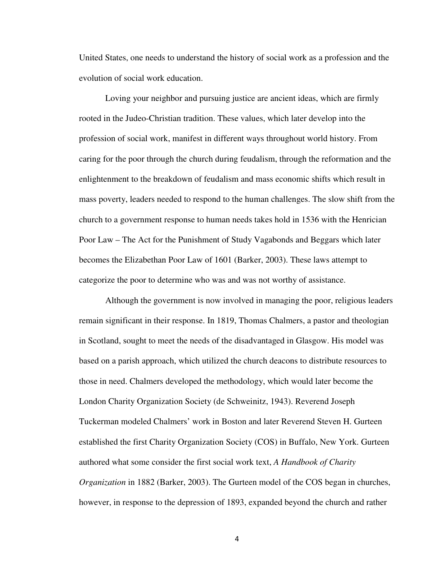United States, one needs to understand the history of social work as a profession and the evolution of social work education.

 Loving your neighbor and pursuing justice are ancient ideas, which are firmly rooted in the Judeo-Christian tradition. These values, which later develop into the profession of social work, manifest in different ways throughout world history. From caring for the poor through the church during feudalism, through the reformation and the enlightenment to the breakdown of feudalism and mass economic shifts which result in mass poverty, leaders needed to respond to the human challenges. The slow shift from the church to a government response to human needs takes hold in 1536 with the Henrician Poor Law – The Act for the Punishment of Study Vagabonds and Beggars which later becomes the Elizabethan Poor Law of 1601 (Barker, 2003). These laws attempt to categorize the poor to determine who was and was not worthy of assistance.

Although the government is now involved in managing the poor, religious leaders remain significant in their response. In 1819, Thomas Chalmers, a pastor and theologian in Scotland, sought to meet the needs of the disadvantaged in Glasgow. His model was based on a parish approach, which utilized the church deacons to distribute resources to those in need. Chalmers developed the methodology, which would later become the London Charity Organization Society (de Schweinitz, 1943). Reverend Joseph Tuckerman modeled Chalmers' work in Boston and later Reverend Steven H. Gurteen established the first Charity Organization Society (COS) in Buffalo, New York. Gurteen authored what some consider the first social work text, *A Handbook of Charity Organization* in 1882 (Barker, 2003). The Gurteen model of the COS began in churches, however, in response to the depression of 1893, expanded beyond the church and rather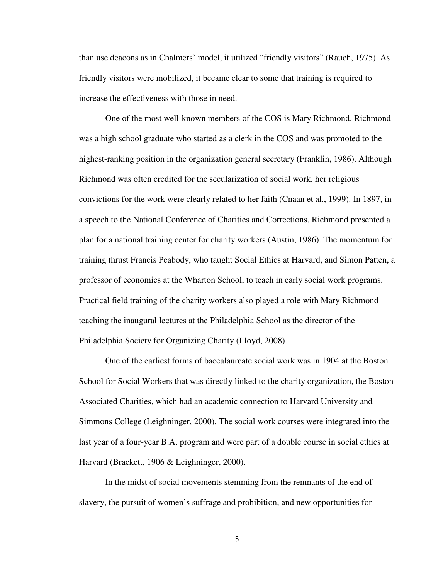than use deacons as in Chalmers' model, it utilized "friendly visitors" (Rauch, 1975). As friendly visitors were mobilized, it became clear to some that training is required to increase the effectiveness with those in need.

One of the most well-known members of the COS is Mary Richmond. Richmond was a high school graduate who started as a clerk in the COS and was promoted to the highest-ranking position in the organization general secretary (Franklin, 1986). Although Richmond was often credited for the secularization of social work, her religious convictions for the work were clearly related to her faith (Cnaan et al., 1999). In 1897, in a speech to the National Conference of Charities and Corrections, Richmond presented a plan for a national training center for charity workers (Austin, 1986). The momentum for training thrust Francis Peabody, who taught Social Ethics at Harvard, and Simon Patten, a professor of economics at the Wharton School, to teach in early social work programs. Practical field training of the charity workers also played a role with Mary Richmond teaching the inaugural lectures at the Philadelphia School as the director of the Philadelphia Society for Organizing Charity (Lloyd, 2008).

One of the earliest forms of baccalaureate social work was in 1904 at the Boston School for Social Workers that was directly linked to the charity organization, the Boston Associated Charities, which had an academic connection to Harvard University and Simmons College (Leighninger, 2000). The social work courses were integrated into the last year of a four-year B.A. program and were part of a double course in social ethics at Harvard (Brackett, 1906 & Leighninger, 2000).

In the midst of social movements stemming from the remnants of the end of slavery, the pursuit of women's suffrage and prohibition, and new opportunities for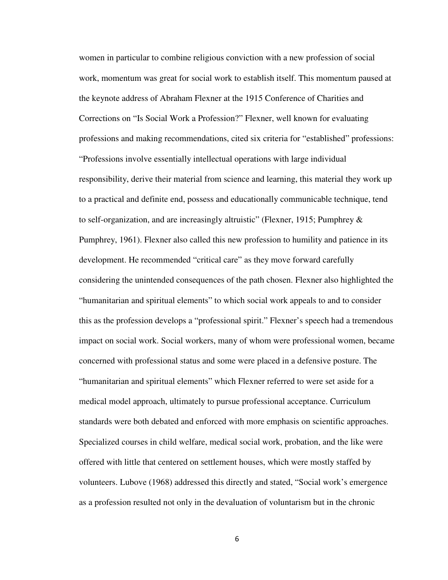women in particular to combine religious conviction with a new profession of social work, momentum was great for social work to establish itself. This momentum paused at the keynote address of Abraham Flexner at the 1915 Conference of Charities and Corrections on "Is Social Work a Profession?" Flexner, well known for evaluating professions and making recommendations, cited six criteria for "established" professions: "Professions involve essentially intellectual operations with large individual responsibility, derive their material from science and learning, this material they work up to a practical and definite end, possess and educationally communicable technique, tend to self-organization, and are increasingly altruistic" (Flexner, 1915; Pumphrey  $\&$ Pumphrey, 1961). Flexner also called this new profession to humility and patience in its development. He recommended "critical care" as they move forward carefully considering the unintended consequences of the path chosen. Flexner also highlighted the "humanitarian and spiritual elements" to which social work appeals to and to consider this as the profession develops a "professional spirit." Flexner's speech had a tremendous impact on social work. Social workers, many of whom were professional women, became concerned with professional status and some were placed in a defensive posture. The "humanitarian and spiritual elements" which Flexner referred to were set aside for a medical model approach, ultimately to pursue professional acceptance. Curriculum standards were both debated and enforced with more emphasis on scientific approaches. Specialized courses in child welfare, medical social work, probation, and the like were offered with little that centered on settlement houses, which were mostly staffed by volunteers. Lubove (1968) addressed this directly and stated, "Social work's emergence as a profession resulted not only in the devaluation of voluntarism but in the chronic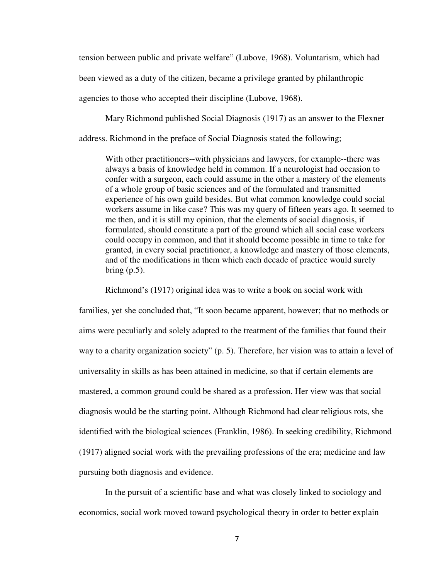tension between public and private welfare" (Lubove, 1968). Voluntarism, which had been viewed as a duty of the citizen, became a privilege granted by philanthropic agencies to those who accepted their discipline (Lubove, 1968).

Mary Richmond published Social Diagnosis (1917) as an answer to the Flexner

address. Richmond in the preface of Social Diagnosis stated the following;

With other practitioners--with physicians and lawyers, for example--there was always a basis of knowledge held in common. If a neurologist had occasion to confer with a surgeon, each could assume in the other a mastery of the elements of a whole group of basic sciences and of the formulated and transmitted experience of his own guild besides. But what common knowledge could social workers assume in like case? This was my query of fifteen years ago. It seemed to me then, and it is still my opinion, that the elements of social diagnosis, if formulated, should constitute a part of the ground which all social case workers could occupy in common, and that it should become possible in time to take for granted, in every social practitioner, a knowledge and mastery of those elements, and of the modifications in them which each decade of practice would surely bring  $(p.5)$ .

Richmond's (1917) original idea was to write a book on social work with families, yet she concluded that, "It soon became apparent, however; that no methods or aims were peculiarly and solely adapted to the treatment of the families that found their way to a charity organization society" (p. 5). Therefore, her vision was to attain a level of universality in skills as has been attained in medicine, so that if certain elements are mastered, a common ground could be shared as a profession. Her view was that social diagnosis would be the starting point. Although Richmond had clear religious rots, she identified with the biological sciences (Franklin, 1986). In seeking credibility, Richmond (1917) aligned social work with the prevailing professions of the era; medicine and law pursuing both diagnosis and evidence.

In the pursuit of a scientific base and what was closely linked to sociology and economics, social work moved toward psychological theory in order to better explain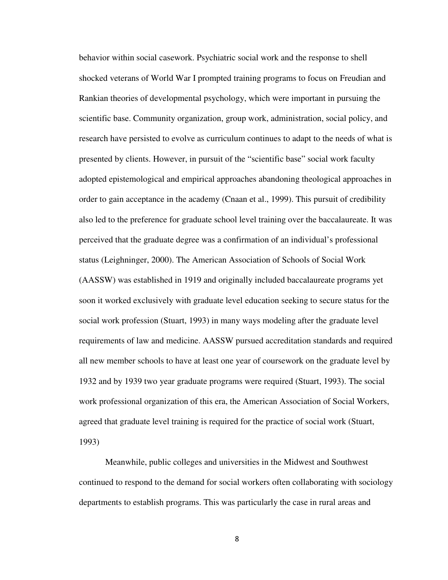behavior within social casework. Psychiatric social work and the response to shell shocked veterans of World War I prompted training programs to focus on Freudian and Rankian theories of developmental psychology, which were important in pursuing the scientific base. Community organization, group work, administration, social policy, and research have persisted to evolve as curriculum continues to adapt to the needs of what is presented by clients. However, in pursuit of the "scientific base" social work faculty adopted epistemological and empirical approaches abandoning theological approaches in order to gain acceptance in the academy (Cnaan et al., 1999). This pursuit of credibility also led to the preference for graduate school level training over the baccalaureate. It was perceived that the graduate degree was a confirmation of an individual's professional status (Leighninger, 2000). The American Association of Schools of Social Work (AASSW) was established in 1919 and originally included baccalaureate programs yet soon it worked exclusively with graduate level education seeking to secure status for the social work profession (Stuart, 1993) in many ways modeling after the graduate level requirements of law and medicine. AASSW pursued accreditation standards and required all new member schools to have at least one year of coursework on the graduate level by 1932 and by 1939 two year graduate programs were required (Stuart, 1993). The social work professional organization of this era, the American Association of Social Workers, agreed that graduate level training is required for the practice of social work (Stuart, 1993)

 Meanwhile, public colleges and universities in the Midwest and Southwest continued to respond to the demand for social workers often collaborating with sociology departments to establish programs. This was particularly the case in rural areas and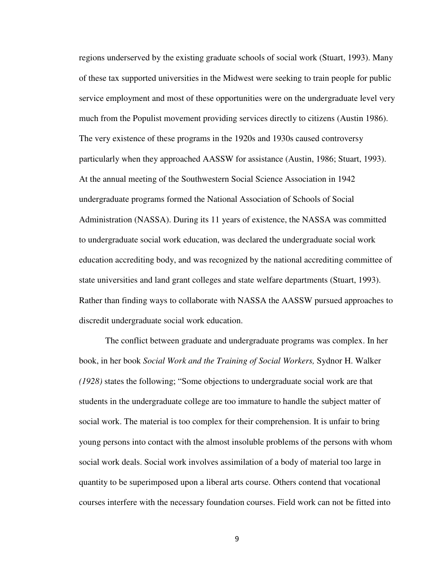regions underserved by the existing graduate schools of social work (Stuart, 1993). Many of these tax supported universities in the Midwest were seeking to train people for public service employment and most of these opportunities were on the undergraduate level very much from the Populist movement providing services directly to citizens (Austin 1986). The very existence of these programs in the 1920s and 1930s caused controversy particularly when they approached AASSW for assistance (Austin, 1986; Stuart, 1993). At the annual meeting of the Southwestern Social Science Association in 1942 undergraduate programs formed the National Association of Schools of Social Administration (NASSA). During its 11 years of existence, the NASSA was committed to undergraduate social work education, was declared the undergraduate social work education accrediting body, and was recognized by the national accrediting committee of state universities and land grant colleges and state welfare departments (Stuart, 1993). Rather than finding ways to collaborate with NASSA the AASSW pursued approaches to discredit undergraduate social work education.

 The conflict between graduate and undergraduate programs was complex. In her book, in her book *Social Work and the Training of Social Workers,* Sydnor H. Walker *(1928)* states the following; "Some objections to undergraduate social work are that students in the undergraduate college are too immature to handle the subject matter of social work. The material is too complex for their comprehension. It is unfair to bring young persons into contact with the almost insoluble problems of the persons with whom social work deals. Social work involves assimilation of a body of material too large in quantity to be superimposed upon a liberal arts course. Others contend that vocational courses interfere with the necessary foundation courses. Field work can not be fitted into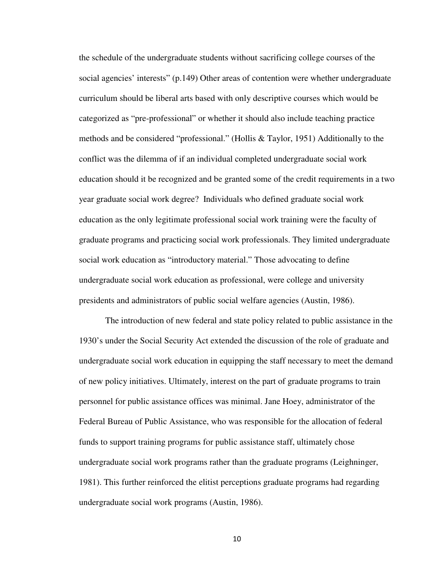the schedule of the undergraduate students without sacrificing college courses of the social agencies' interests" (p.149) Other areas of contention were whether undergraduate curriculum should be liberal arts based with only descriptive courses which would be categorized as "pre-professional" or whether it should also include teaching practice methods and be considered "professional." (Hollis & Taylor, 1951) Additionally to the conflict was the dilemma of if an individual completed undergraduate social work education should it be recognized and be granted some of the credit requirements in a two year graduate social work degree? Individuals who defined graduate social work education as the only legitimate professional social work training were the faculty of graduate programs and practicing social work professionals. They limited undergraduate social work education as "introductory material." Those advocating to define undergraduate social work education as professional, were college and university presidents and administrators of public social welfare agencies (Austin, 1986).

 The introduction of new federal and state policy related to public assistance in the 1930's under the Social Security Act extended the discussion of the role of graduate and undergraduate social work education in equipping the staff necessary to meet the demand of new policy initiatives. Ultimately, interest on the part of graduate programs to train personnel for public assistance offices was minimal. Jane Hoey, administrator of the Federal Bureau of Public Assistance, who was responsible for the allocation of federal funds to support training programs for public assistance staff, ultimately chose undergraduate social work programs rather than the graduate programs (Leighninger, 1981). This further reinforced the elitist perceptions graduate programs had regarding undergraduate social work programs (Austin, 1986).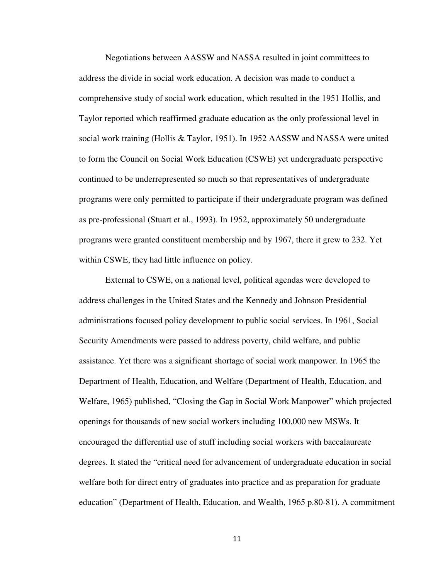Negotiations between AASSW and NASSA resulted in joint committees to address the divide in social work education. A decision was made to conduct a comprehensive study of social work education, which resulted in the 1951 Hollis, and Taylor reported which reaffirmed graduate education as the only professional level in social work training (Hollis & Taylor, 1951). In 1952 AASSW and NASSA were united to form the Council on Social Work Education (CSWE) yet undergraduate perspective continued to be underrepresented so much so that representatives of undergraduate programs were only permitted to participate if their undergraduate program was defined as pre-professional (Stuart et al., 1993). In 1952, approximately 50 undergraduate programs were granted constituent membership and by 1967, there it grew to 232. Yet within CSWE, they had little influence on policy.

 External to CSWE, on a national level, political agendas were developed to address challenges in the United States and the Kennedy and Johnson Presidential administrations focused policy development to public social services. In 1961, Social Security Amendments were passed to address poverty, child welfare, and public assistance. Yet there was a significant shortage of social work manpower. In 1965 the Department of Health, Education, and Welfare (Department of Health, Education, and Welfare, 1965) published, "Closing the Gap in Social Work Manpower" which projected openings for thousands of new social workers including 100,000 new MSWs. It encouraged the differential use of stuff including social workers with baccalaureate degrees. It stated the "critical need for advancement of undergraduate education in social welfare both for direct entry of graduates into practice and as preparation for graduate education" (Department of Health, Education, and Wealth, 1965 p.80-81). A commitment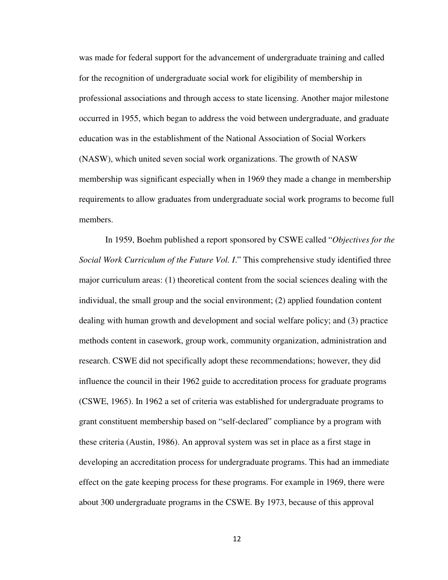was made for federal support for the advancement of undergraduate training and called for the recognition of undergraduate social work for eligibility of membership in professional associations and through access to state licensing. Another major milestone occurred in 1955, which began to address the void between undergraduate, and graduate education was in the establishment of the National Association of Social Workers (NASW), which united seven social work organizations. The growth of NASW membership was significant especially when in 1969 they made a change in membership requirements to allow graduates from undergraduate social work programs to become full members.

 In 1959, Boehm published a report sponsored by CSWE called "*Objectives for the Social Work Curriculum of the Future Vol. I*." This comprehensive study identified three major curriculum areas: (1) theoretical content from the social sciences dealing with the individual, the small group and the social environment; (2) applied foundation content dealing with human growth and development and social welfare policy; and (3) practice methods content in casework, group work, community organization, administration and research. CSWE did not specifically adopt these recommendations; however, they did influence the council in their 1962 guide to accreditation process for graduate programs (CSWE, 1965). In 1962 a set of criteria was established for undergraduate programs to grant constituent membership based on "self-declared" compliance by a program with these criteria (Austin, 1986). An approval system was set in place as a first stage in developing an accreditation process for undergraduate programs. This had an immediate effect on the gate keeping process for these programs. For example in 1969, there were about 300 undergraduate programs in the CSWE. By 1973, because of this approval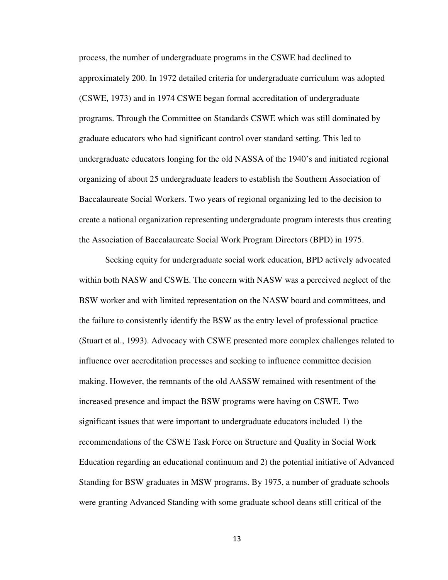process, the number of undergraduate programs in the CSWE had declined to approximately 200. In 1972 detailed criteria for undergraduate curriculum was adopted (CSWE, 1973) and in 1974 CSWE began formal accreditation of undergraduate programs. Through the Committee on Standards CSWE which was still dominated by graduate educators who had significant control over standard setting. This led to undergraduate educators longing for the old NASSA of the 1940's and initiated regional organizing of about 25 undergraduate leaders to establish the Southern Association of Baccalaureate Social Workers. Two years of regional organizing led to the decision to create a national organization representing undergraduate program interests thus creating the Association of Baccalaureate Social Work Program Directors (BPD) in 1975.

 Seeking equity for undergraduate social work education, BPD actively advocated within both NASW and CSWE. The concern with NASW was a perceived neglect of the BSW worker and with limited representation on the NASW board and committees, and the failure to consistently identify the BSW as the entry level of professional practice (Stuart et al., 1993). Advocacy with CSWE presented more complex challenges related to influence over accreditation processes and seeking to influence committee decision making. However, the remnants of the old AASSW remained with resentment of the increased presence and impact the BSW programs were having on CSWE. Two significant issues that were important to undergraduate educators included 1) the recommendations of the CSWE Task Force on Structure and Quality in Social Work Education regarding an educational continuum and 2) the potential initiative of Advanced Standing for BSW graduates in MSW programs. By 1975, a number of graduate schools were granting Advanced Standing with some graduate school deans still critical of the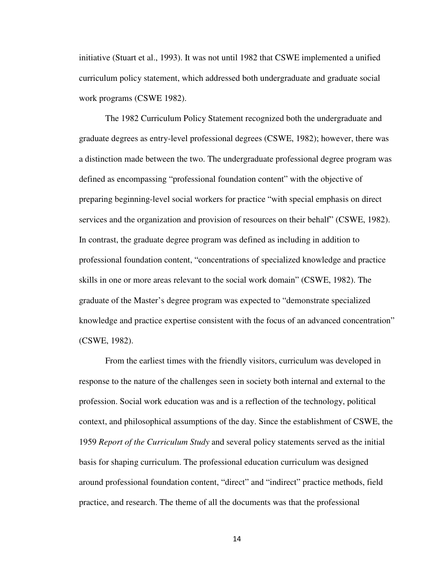initiative (Stuart et al., 1993). It was not until 1982 that CSWE implemented a unified curriculum policy statement, which addressed both undergraduate and graduate social work programs (CSWE 1982).

 The 1982 Curriculum Policy Statement recognized both the undergraduate and graduate degrees as entry-level professional degrees (CSWE, 1982); however, there was a distinction made between the two. The undergraduate professional degree program was defined as encompassing "professional foundation content" with the objective of preparing beginning-level social workers for practice "with special emphasis on direct services and the organization and provision of resources on their behalf" (CSWE, 1982). In contrast, the graduate degree program was defined as including in addition to professional foundation content, "concentrations of specialized knowledge and practice skills in one or more areas relevant to the social work domain" (CSWE, 1982). The graduate of the Master's degree program was expected to "demonstrate specialized knowledge and practice expertise consistent with the focus of an advanced concentration" (CSWE, 1982).

 From the earliest times with the friendly visitors, curriculum was developed in response to the nature of the challenges seen in society both internal and external to the profession. Social work education was and is a reflection of the technology, political context, and philosophical assumptions of the day. Since the establishment of CSWE, the 1959 *Report of the Curriculum Study* and several policy statements served as the initial basis for shaping curriculum. The professional education curriculum was designed around professional foundation content, "direct" and "indirect" practice methods, field practice, and research. The theme of all the documents was that the professional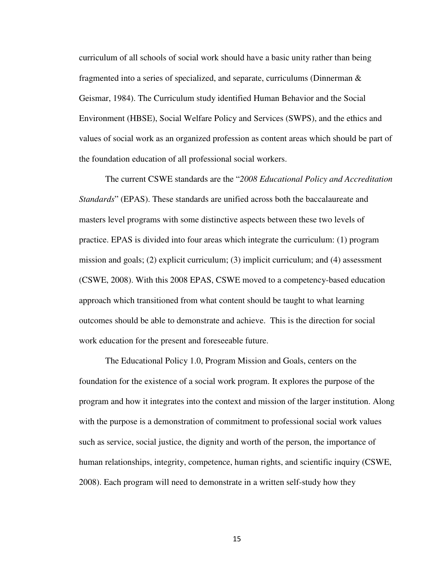curriculum of all schools of social work should have a basic unity rather than being fragmented into a series of specialized, and separate, curriculums (Dinnerman & Geismar, 1984). The Curriculum study identified Human Behavior and the Social Environment (HBSE), Social Welfare Policy and Services (SWPS), and the ethics and values of social work as an organized profession as content areas which should be part of the foundation education of all professional social workers.

 The current CSWE standards are the "*2008 Educational Policy and Accreditation Standards*" (EPAS). These standards are unified across both the baccalaureate and masters level programs with some distinctive aspects between these two levels of practice. EPAS is divided into four areas which integrate the curriculum: (1) program mission and goals; (2) explicit curriculum; (3) implicit curriculum; and (4) assessment (CSWE, 2008). With this 2008 EPAS, CSWE moved to a competency-based education approach which transitioned from what content should be taught to what learning outcomes should be able to demonstrate and achieve. This is the direction for social work education for the present and foreseeable future.

 The Educational Policy 1.0, Program Mission and Goals, centers on the foundation for the existence of a social work program. It explores the purpose of the program and how it integrates into the context and mission of the larger institution. Along with the purpose is a demonstration of commitment to professional social work values such as service, social justice, the dignity and worth of the person, the importance of human relationships, integrity, competence, human rights, and scientific inquiry (CSWE, 2008). Each program will need to demonstrate in a written self-study how they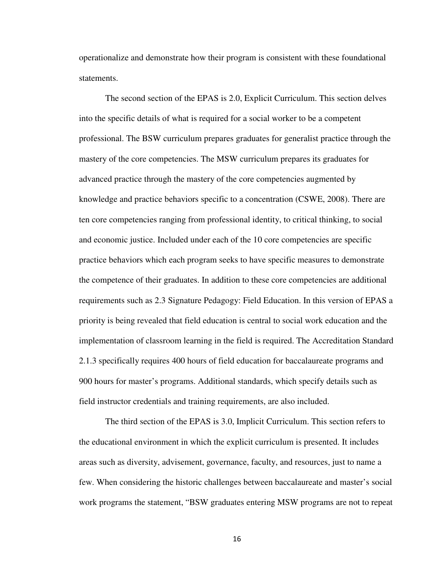operationalize and demonstrate how their program is consistent with these foundational statements.

 The second section of the EPAS is 2.0, Explicit Curriculum. This section delves into the specific details of what is required for a social worker to be a competent professional. The BSW curriculum prepares graduates for generalist practice through the mastery of the core competencies. The MSW curriculum prepares its graduates for advanced practice through the mastery of the core competencies augmented by knowledge and practice behaviors specific to a concentration (CSWE, 2008). There are ten core competencies ranging from professional identity, to critical thinking, to social and economic justice. Included under each of the 10 core competencies are specific practice behaviors which each program seeks to have specific measures to demonstrate the competence of their graduates. In addition to these core competencies are additional requirements such as 2.3 Signature Pedagogy: Field Education. In this version of EPAS a priority is being revealed that field education is central to social work education and the implementation of classroom learning in the field is required. The Accreditation Standard 2.1.3 specifically requires 400 hours of field education for baccalaureate programs and 900 hours for master's programs. Additional standards, which specify details such as field instructor credentials and training requirements, are also included.

 The third section of the EPAS is 3.0, Implicit Curriculum. This section refers to the educational environment in which the explicit curriculum is presented. It includes areas such as diversity, advisement, governance, faculty, and resources, just to name a few. When considering the historic challenges between baccalaureate and master's social work programs the statement, "BSW graduates entering MSW programs are not to repeat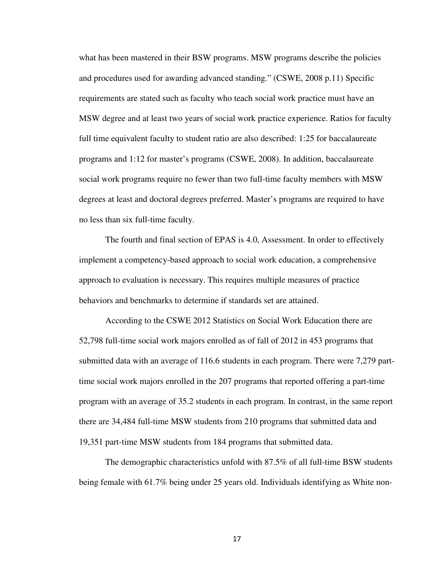what has been mastered in their BSW programs. MSW programs describe the policies and procedures used for awarding advanced standing." (CSWE, 2008 p.11) Specific requirements are stated such as faculty who teach social work practice must have an MSW degree and at least two years of social work practice experience. Ratios for faculty full time equivalent faculty to student ratio are also described: 1:25 for baccalaureate programs and 1:12 for master's programs (CSWE, 2008). In addition, baccalaureate social work programs require no fewer than two full-time faculty members with MSW degrees at least and doctoral degrees preferred. Master's programs are required to have no less than six full-time faculty.

 The fourth and final section of EPAS is 4.0, Assessment. In order to effectively implement a competency-based approach to social work education, a comprehensive approach to evaluation is necessary. This requires multiple measures of practice behaviors and benchmarks to determine if standards set are attained.

 According to the CSWE 2012 Statistics on Social Work Education there are 52,798 full-time social work majors enrolled as of fall of 2012 in 453 programs that submitted data with an average of 116.6 students in each program. There were 7,279 parttime social work majors enrolled in the 207 programs that reported offering a part-time program with an average of 35.2 students in each program. In contrast, in the same report there are 34,484 full-time MSW students from 210 programs that submitted data and 19,351 part-time MSW students from 184 programs that submitted data.

 The demographic characteristics unfold with 87.5% of all full-time BSW students being female with 61.7% being under 25 years old. Individuals identifying as White non-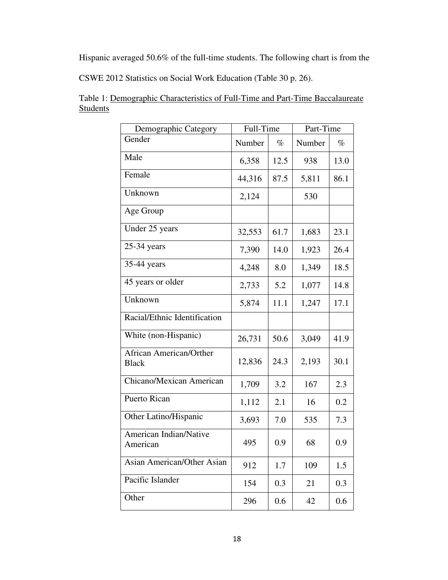Hispanic averaged 50.6% of the full-time students. The following chart is from the

CSWE 2012 Statistics on Social Work Education (Table 30 p. 26).

| Demographic Category                           | Full-Time |      | Part-Time |      |
|------------------------------------------------|-----------|------|-----------|------|
| Gender                                         | Number    | $\%$ | Number    | $\%$ |
| Male                                           | 6,358     | 12.5 | 938       | 13.0 |
| Female                                         | 44,316    | 87.5 | 5,811     | 86.1 |
| Unknown                                        | 2,124     |      | 530       |      |
| Age Group                                      |           |      |           |      |
| Under 25 years                                 | 32,553    | 61.7 | 1,683     | 23.1 |
| 25-34 years                                    | 7,390     | 14.0 | 1,923     | 26.4 |
| 35-44 years                                    | 4,248     | 8.0  | 1,349     | 18.5 |
| 45 years or older                              | 2,733     | 5.2  | 1,077     | 14.8 |
| Unknown                                        | 5,874     | 11.1 | 1,247     | 17.1 |
| Racial/Ethnic Identification                   |           |      |           |      |
| White (non-Hispanic)                           | 26,731    | 50.6 | 3,049     | 41.9 |
| <b>African American/Orther</b><br><b>Black</b> | 12,836    | 24.3 | 2,193     | 30.1 |
| Chicano/Mexican American                       | 1,709     | 3.2  | 167       | 2.3  |
| Puerto Rican                                   | 1,112     | 2.1  | 16        | 0.2  |
| Other Latino/Hispanic                          | 3,693     | 7.0  | 535       | 7.3  |
| American Indian/Native<br>American             | 495       | 0.9  | 68        | 0.9  |
| <b>Asian American/Other Asian</b>              | 912       | 1.7  | 109       | 1.5  |
| Pacific Islander                               | 154       | 0.3  | 21        | 0.3  |
| Other                                          | 296       | 0.6  | 42        | 0.6  |

Table 1: Demographic Characteristics of Full-Time and Part-Time Baccalaureate **Students**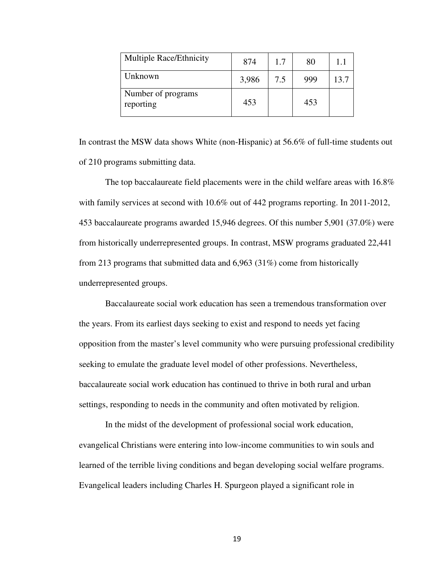| <b>Multiple Race/Ethnicity</b>  | 874   | 1.7 | 80  | 1.1  |
|---------------------------------|-------|-----|-----|------|
| Unknown                         | 3,986 | 7.5 | 999 | 13.7 |
| Number of programs<br>reporting | 453   |     | 453 |      |

In contrast the MSW data shows White (non-Hispanic) at 56.6% of full-time students out of 210 programs submitting data.

 The top baccalaureate field placements were in the child welfare areas with 16.8% with family services at second with  $10.6\%$  out of 442 programs reporting. In 2011-2012, 453 baccalaureate programs awarded 15,946 degrees. Of this number 5,901 (37.0%) were from historically underrepresented groups. In contrast, MSW programs graduated 22,441 from 213 programs that submitted data and 6,963 (31%) come from historically underrepresented groups.

 Baccalaureate social work education has seen a tremendous transformation over the years. From its earliest days seeking to exist and respond to needs yet facing opposition from the master's level community who were pursuing professional credibility seeking to emulate the graduate level model of other professions. Nevertheless, baccalaureate social work education has continued to thrive in both rural and urban settings, responding to needs in the community and often motivated by religion.

 In the midst of the development of professional social work education, evangelical Christians were entering into low-income communities to win souls and learned of the terrible living conditions and began developing social welfare programs. Evangelical leaders including Charles H. Spurgeon played a significant role in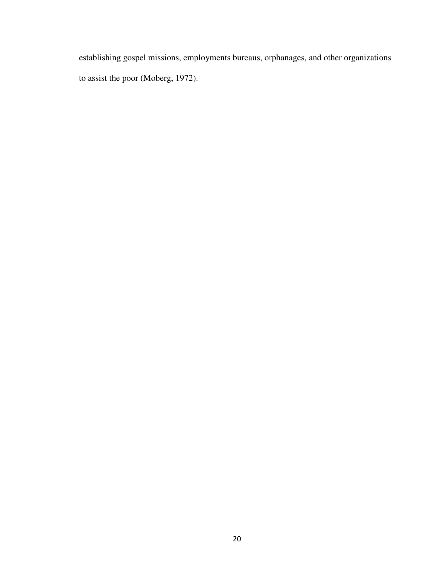establishing gospel missions, employments bureaus, orphanages, and other organizations to assist the poor (Moberg, 1972).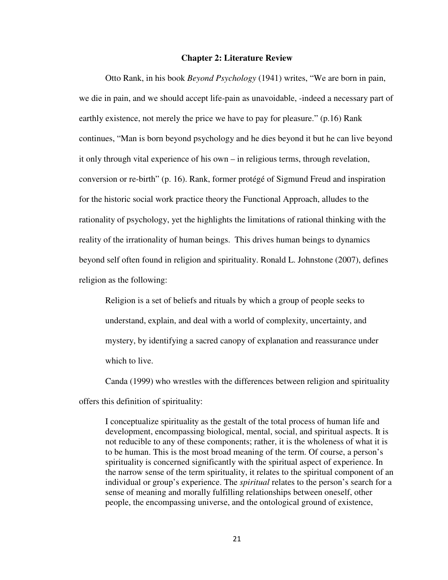#### **Chapter 2: Literature Review**

Otto Rank, in his book *Beyond Psychology* (1941) writes, "We are born in pain, we die in pain, and we should accept life-pain as unavoidable, -indeed a necessary part of earthly existence, not merely the price we have to pay for pleasure." (p.16) Rank continues, "Man is born beyond psychology and he dies beyond it but he can live beyond it only through vital experience of his own – in religious terms, through revelation, conversion or re-birth" (p. 16). Rank, former protégé of Sigmund Freud and inspiration for the historic social work practice theory the Functional Approach, alludes to the rationality of psychology, yet the highlights the limitations of rational thinking with the reality of the irrationality of human beings. This drives human beings to dynamics beyond self often found in religion and spirituality. Ronald L. Johnstone (2007), defines religion as the following:

Religion is a set of beliefs and rituals by which a group of people seeks to understand, explain, and deal with a world of complexity, uncertainty, and mystery, by identifying a sacred canopy of explanation and reassurance under which to live.

Canda (1999) who wrestles with the differences between religion and spirituality offers this definition of spirituality:

I conceptualize spirituality as the gestalt of the total process of human life and development, encompassing biological, mental, social, and spiritual aspects. It is not reducible to any of these components; rather, it is the wholeness of what it is to be human. This is the most broad meaning of the term. Of course, a person's spirituality is concerned significantly with the spiritual aspect of experience. In the narrow sense of the term spirituality, it relates to the spiritual component of an individual or group's experience. The *spiritual* relates to the person's search for a sense of meaning and morally fulfilling relationships between oneself, other people, the encompassing universe, and the ontological ground of existence,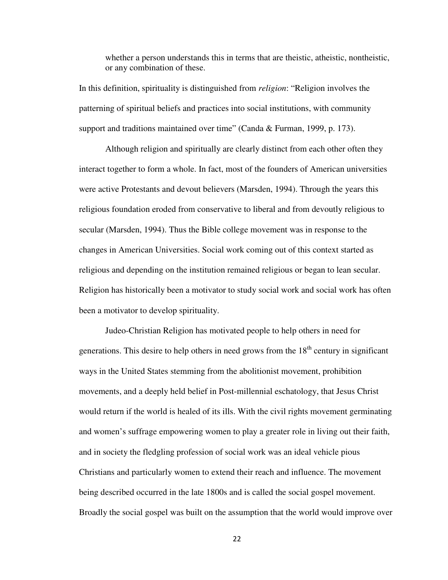whether a person understands this in terms that are theistic, atheistic, nontheistic, or any combination of these.

In this definition, spirituality is distinguished from *religion*: "Religion involves the patterning of spiritual beliefs and practices into social institutions, with community support and traditions maintained over time" (Canda & Furman, 1999, p. 173).

Although religion and spiritually are clearly distinct from each other often they interact together to form a whole. In fact, most of the founders of American universities were active Protestants and devout believers (Marsden, 1994). Through the years this religious foundation eroded from conservative to liberal and from devoutly religious to secular (Marsden, 1994). Thus the Bible college movement was in response to the changes in American Universities. Social work coming out of this context started as religious and depending on the institution remained religious or began to lean secular. Religion has historically been a motivator to study social work and social work has often been a motivator to develop spirituality.

Judeo-Christian Religion has motivated people to help others in need for generations. This desire to help others in need grows from the  $18<sup>th</sup>$  century in significant ways in the United States stemming from the abolitionist movement, prohibition movements, and a deeply held belief in Post-millennial eschatology, that Jesus Christ would return if the world is healed of its ills. With the civil rights movement germinating and women's suffrage empowering women to play a greater role in living out their faith, and in society the fledgling profession of social work was an ideal vehicle pious Christians and particularly women to extend their reach and influence. The movement being described occurred in the late 1800s and is called the social gospel movement. Broadly the social gospel was built on the assumption that the world would improve over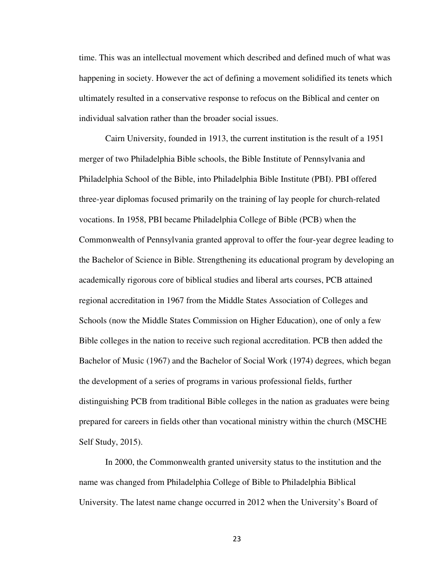time. This was an intellectual movement which described and defined much of what was happening in society. However the act of defining a movement solidified its tenets which ultimately resulted in a conservative response to refocus on the Biblical and center on individual salvation rather than the broader social issues.

 Cairn University, founded in 1913, the current institution is the result of a 1951 merger of two Philadelphia Bible schools, the Bible Institute of Pennsylvania and Philadelphia School of the Bible, into Philadelphia Bible Institute (PBI). PBI offered three-year diplomas focused primarily on the training of lay people for church-related vocations. In 1958, PBI became Philadelphia College of Bible (PCB) when the Commonwealth of Pennsylvania granted approval to offer the four-year degree leading to the Bachelor of Science in Bible. Strengthening its educational program by developing an academically rigorous core of biblical studies and liberal arts courses, PCB attained regional accreditation in 1967 from the Middle States Association of Colleges and Schools (now the Middle States Commission on Higher Education), one of only a few Bible colleges in the nation to receive such regional accreditation. PCB then added the Bachelor of Music (1967) and the Bachelor of Social Work (1974) degrees, which began the development of a series of programs in various professional fields, further distinguishing PCB from traditional Bible colleges in the nation as graduates were being prepared for careers in fields other than vocational ministry within the church (MSCHE Self Study, 2015).

In 2000, the Commonwealth granted university status to the institution and the name was changed from Philadelphia College of Bible to Philadelphia Biblical University. The latest name change occurred in 2012 when the University's Board of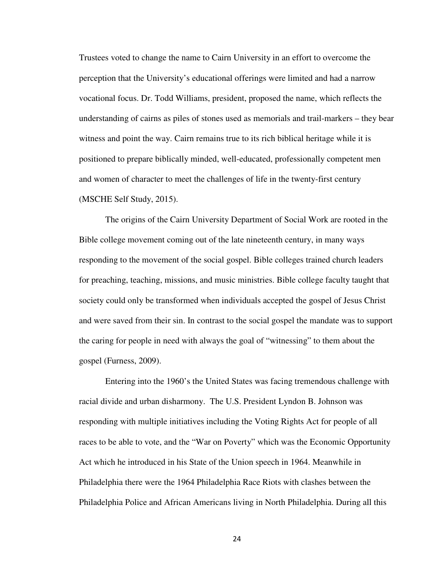Trustees voted to change the name to Cairn University in an effort to overcome the perception that the University's educational offerings were limited and had a narrow vocational focus. Dr. Todd Williams, president, proposed the name, which reflects the understanding of cairns as piles of stones used as memorials and trail-markers – they bear witness and point the way. Cairn remains true to its rich biblical heritage while it is positioned to prepare biblically minded, well-educated, professionally competent men and women of character to meet the challenges of life in the twenty-first century (MSCHE Self Study, 2015).

The origins of the Cairn University Department of Social Work are rooted in the Bible college movement coming out of the late nineteenth century, in many ways responding to the movement of the social gospel. Bible colleges trained church leaders for preaching, teaching, missions, and music ministries. Bible college faculty taught that society could only be transformed when individuals accepted the gospel of Jesus Christ and were saved from their sin. In contrast to the social gospel the mandate was to support the caring for people in need with always the goal of "witnessing" to them about the gospel (Furness, 2009).

Entering into the 1960's the United States was facing tremendous challenge with racial divide and urban disharmony. The U.S. President Lyndon B. Johnson was responding with multiple initiatives including the Voting Rights Act for people of all races to be able to vote, and the "War on Poverty" which was the Economic Opportunity Act which he introduced in his State of the Union speech in 1964. Meanwhile in Philadelphia there were the 1964 Philadelphia Race Riots with clashes between the Philadelphia Police and African Americans living in North Philadelphia. During all this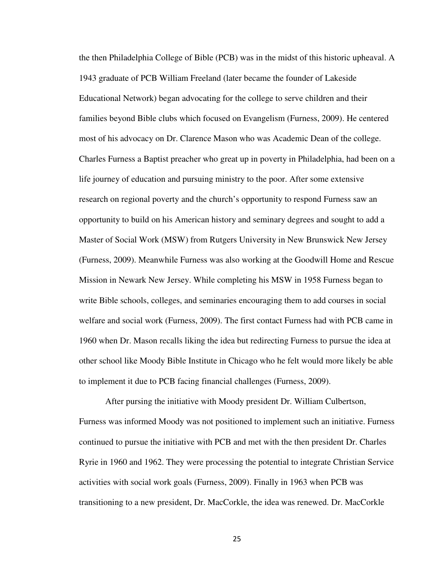the then Philadelphia College of Bible (PCB) was in the midst of this historic upheaval. A 1943 graduate of PCB William Freeland (later became the founder of Lakeside Educational Network) began advocating for the college to serve children and their families beyond Bible clubs which focused on Evangelism (Furness, 2009). He centered most of his advocacy on Dr. Clarence Mason who was Academic Dean of the college. Charles Furness a Baptist preacher who great up in poverty in Philadelphia, had been on a life journey of education and pursuing ministry to the poor. After some extensive research on regional poverty and the church's opportunity to respond Furness saw an opportunity to build on his American history and seminary degrees and sought to add a Master of Social Work (MSW) from Rutgers University in New Brunswick New Jersey (Furness, 2009). Meanwhile Furness was also working at the Goodwill Home and Rescue Mission in Newark New Jersey. While completing his MSW in 1958 Furness began to write Bible schools, colleges, and seminaries encouraging them to add courses in social welfare and social work (Furness, 2009). The first contact Furness had with PCB came in 1960 when Dr. Mason recalls liking the idea but redirecting Furness to pursue the idea at other school like Moody Bible Institute in Chicago who he felt would more likely be able to implement it due to PCB facing financial challenges (Furness, 2009).

After pursing the initiative with Moody president Dr. William Culbertson, Furness was informed Moody was not positioned to implement such an initiative. Furness continued to pursue the initiative with PCB and met with the then president Dr. Charles Ryrie in 1960 and 1962. They were processing the potential to integrate Christian Service activities with social work goals (Furness, 2009). Finally in 1963 when PCB was transitioning to a new president, Dr. MacCorkle, the idea was renewed. Dr. MacCorkle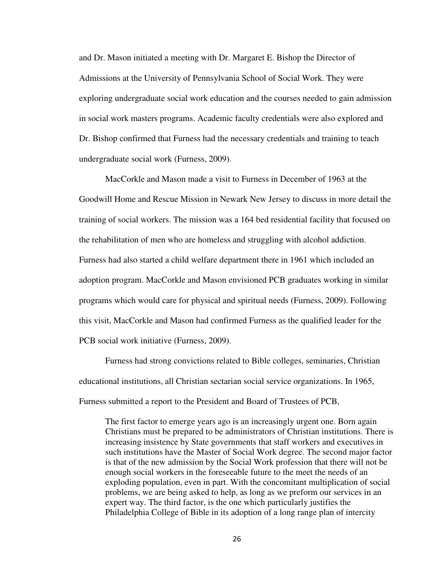and Dr. Mason initiated a meeting with Dr. Margaret E. Bishop the Director of Admissions at the University of Pennsylvania School of Social Work. They were exploring undergraduate social work education and the courses needed to gain admission in social work masters programs. Academic faculty credentials were also explored and Dr. Bishop confirmed that Furness had the necessary credentials and training to teach undergraduate social work (Furness, 2009).

MacCorkle and Mason made a visit to Furness in December of 1963 at the Goodwill Home and Rescue Mission in Newark New Jersey to discuss in more detail the training of social workers. The mission was a 164 bed residential facility that focused on the rehabilitation of men who are homeless and struggling with alcohol addiction. Furness had also started a child welfare department there in 1961 which included an adoption program. MacCorkle and Mason envisioned PCB graduates working in similar programs which would care for physical and spiritual needs (Furness, 2009). Following this visit, MacCorkle and Mason had confirmed Furness as the qualified leader for the PCB social work initiative (Furness, 2009).

Furness had strong convictions related to Bible colleges, seminaries, Christian educational institutions, all Christian sectarian social service organizations. In 1965, Furness submitted a report to the President and Board of Trustees of PCB,

The first factor to emerge years ago is an increasingly urgent one. Born again Christians must be prepared to be administrators of Christian institutions. There is increasing insistence by State governments that staff workers and executives in such institutions have the Master of Social Work degree. The second major factor is that of the new admission by the Social Work profession that there will not be enough social workers in the foreseeable future to the meet the needs of an exploding population, even in part. With the concomitant multiplication of social problems, we are being asked to help, as long as we preform our services in an expert way. The third factor, is the one which particularly justifies the Philadelphia College of Bible in its adoption of a long range plan of intercity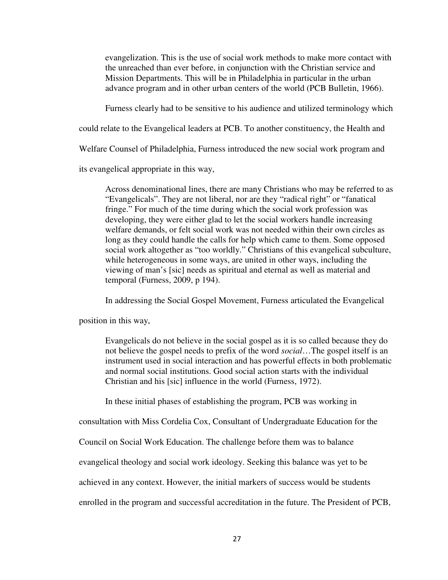evangelization. This is the use of social work methods to make more contact with the unreached than ever before, in conjunction with the Christian service and Mission Departments. This will be in Philadelphia in particular in the urban advance program and in other urban centers of the world (PCB Bulletin, 1966).

Furness clearly had to be sensitive to his audience and utilized terminology which

could relate to the Evangelical leaders at PCB. To another constituency, the Health and

Welfare Counsel of Philadelphia, Furness introduced the new social work program and

its evangelical appropriate in this way,

Across denominational lines, there are many Christians who may be referred to as "Evangelicals". They are not liberal, nor are they "radical right" or "fanatical fringe." For much of the time during which the social work profession was developing, they were either glad to let the social workers handle increasing welfare demands, or felt social work was not needed within their own circles as long as they could handle the calls for help which came to them. Some opposed social work altogether as "too worldly." Christians of this evangelical subculture, while heterogeneous in some ways, are united in other ways, including the viewing of man's [sic] needs as spiritual and eternal as well as material and temporal (Furness, 2009, p 194).

In addressing the Social Gospel Movement, Furness articulated the Evangelical

position in this way,

Evangelicals do not believe in the social gospel as it is so called because they do not believe the gospel needs to prefix of the word *social*…The gospel itself is an instrument used in social interaction and has powerful effects in both problematic and normal social institutions. Good social action starts with the individual Christian and his [sic] influence in the world (Furness, 1972).

In these initial phases of establishing the program, PCB was working in

consultation with Miss Cordelia Cox, Consultant of Undergraduate Education for the

Council on Social Work Education. The challenge before them was to balance

evangelical theology and social work ideology. Seeking this balance was yet to be

achieved in any context. However, the initial markers of success would be students

enrolled in the program and successful accreditation in the future. The President of PCB,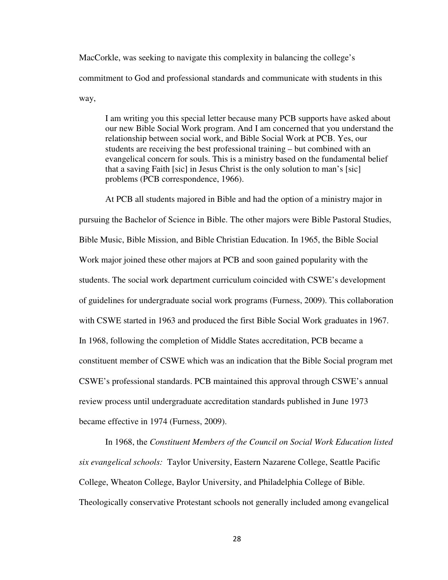MacCorkle, was seeking to navigate this complexity in balancing the college's commitment to God and professional standards and communicate with students in this way,

I am writing you this special letter because many PCB supports have asked about our new Bible Social Work program. And I am concerned that you understand the relationship between social work, and Bible Social Work at PCB. Yes, our students are receiving the best professional training – but combined with an evangelical concern for souls. This is a ministry based on the fundamental belief that a saving Faith [sic] in Jesus Christ is the only solution to man's [sic] problems (PCB correspondence, 1966).

At PCB all students majored in Bible and had the option of a ministry major in pursuing the Bachelor of Science in Bible. The other majors were Bible Pastoral Studies, Bible Music, Bible Mission, and Bible Christian Education. In 1965, the Bible Social Work major joined these other majors at PCB and soon gained popularity with the students. The social work department curriculum coincided with CSWE's development of guidelines for undergraduate social work programs (Furness, 2009). This collaboration with CSWE started in 1963 and produced the first Bible Social Work graduates in 1967. In 1968, following the completion of Middle States accreditation, PCB became a constituent member of CSWE which was an indication that the Bible Social program met CSWE's professional standards. PCB maintained this approval through CSWE's annual review process until undergraduate accreditation standards published in June 1973 became effective in 1974 (Furness, 2009).

In 1968, the *Constituent Members of the Council on Social Work Education listed six evangelical schools:* Taylor University, Eastern Nazarene College, Seattle Pacific College, Wheaton College, Baylor University, and Philadelphia College of Bible. Theologically conservative Protestant schools not generally included among evangelical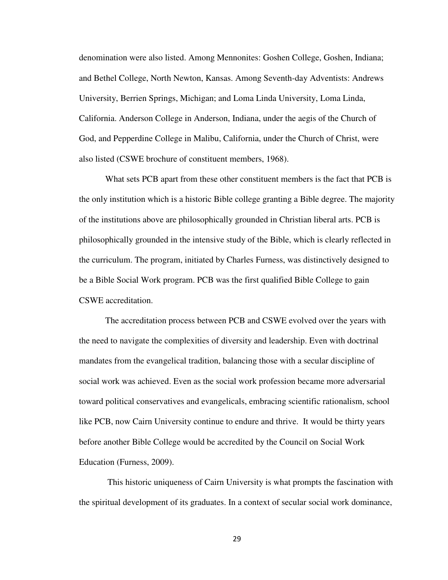denomination were also listed. Among Mennonites: Goshen College, Goshen, Indiana; and Bethel College, North Newton, Kansas. Among Seventh-day Adventists: Andrews University, Berrien Springs, Michigan; and Loma Linda University, Loma Linda, California. Anderson College in Anderson, Indiana, under the aegis of the Church of God, and Pepperdine College in Malibu, California, under the Church of Christ, were also listed (CSWE brochure of constituent members, 1968).

What sets PCB apart from these other constituent members is the fact that PCB is the only institution which is a historic Bible college granting a Bible degree. The majority of the institutions above are philosophically grounded in Christian liberal arts. PCB is philosophically grounded in the intensive study of the Bible, which is clearly reflected in the curriculum. The program, initiated by Charles Furness, was distinctively designed to be a Bible Social Work program. PCB was the first qualified Bible College to gain CSWE accreditation.

The accreditation process between PCB and CSWE evolved over the years with the need to navigate the complexities of diversity and leadership. Even with doctrinal mandates from the evangelical tradition, balancing those with a secular discipline of social work was achieved. Even as the social work profession became more adversarial toward political conservatives and evangelicals, embracing scientific rationalism, school like PCB, now Cairn University continue to endure and thrive. It would be thirty years before another Bible College would be accredited by the Council on Social Work Education (Furness, 2009).

 This historic uniqueness of Cairn University is what prompts the fascination with the spiritual development of its graduates. In a context of secular social work dominance,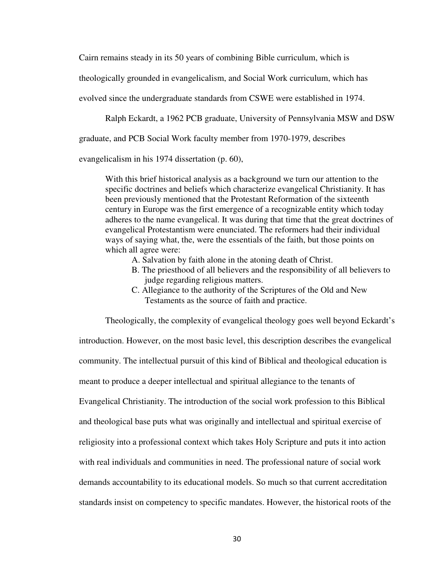Cairn remains steady in its 50 years of combining Bible curriculum, which is

theologically grounded in evangelicalism, and Social Work curriculum, which has

evolved since the undergraduate standards from CSWE were established in 1974.

Ralph Eckardt, a 1962 PCB graduate, University of Pennsylvania MSW and DSW

graduate, and PCB Social Work faculty member from 1970-1979, describes

evangelicalism in his 1974 dissertation (p. 60),

With this brief historical analysis as a background we turn our attention to the specific doctrines and beliefs which characterize evangelical Christianity. It has been previously mentioned that the Protestant Reformation of the sixteenth century in Europe was the first emergence of a recognizable entity which today adheres to the name evangelical. It was during that time that the great doctrines of evangelical Protestantism were enunciated. The reformers had their individual ways of saying what, the, were the essentials of the faith, but those points on which all agree were:

- A. Salvation by faith alone in the atoning death of Christ.
- B. The priesthood of all believers and the responsibility of all believers to judge regarding religious matters.
- C. Allegiance to the authority of the Scriptures of the Old and New Testaments as the source of faith and practice.

 Theologically, the complexity of evangelical theology goes well beyond Eckardt's introduction. However, on the most basic level, this description describes the evangelical community. The intellectual pursuit of this kind of Biblical and theological education is meant to produce a deeper intellectual and spiritual allegiance to the tenants of Evangelical Christianity. The introduction of the social work profession to this Biblical and theological base puts what was originally and intellectual and spiritual exercise of religiosity into a professional context which takes Holy Scripture and puts it into action with real individuals and communities in need. The professional nature of social work demands accountability to its educational models. So much so that current accreditation standards insist on competency to specific mandates. However, the historical roots of the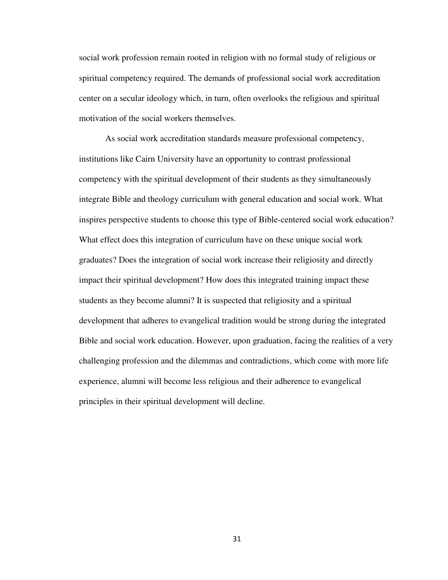social work profession remain rooted in religion with no formal study of religious or spiritual competency required. The demands of professional social work accreditation center on a secular ideology which, in turn, often overlooks the religious and spiritual motivation of the social workers themselves.

 As social work accreditation standards measure professional competency, institutions like Cairn University have an opportunity to contrast professional competency with the spiritual development of their students as they simultaneously integrate Bible and theology curriculum with general education and social work. What inspires perspective students to choose this type of Bible-centered social work education? What effect does this integration of curriculum have on these unique social work graduates? Does the integration of social work increase their religiosity and directly impact their spiritual development? How does this integrated training impact these students as they become alumni? It is suspected that religiosity and a spiritual development that adheres to evangelical tradition would be strong during the integrated Bible and social work education. However, upon graduation, facing the realities of a very challenging profession and the dilemmas and contradictions, which come with more life experience, alumni will become less religious and their adherence to evangelical principles in their spiritual development will decline.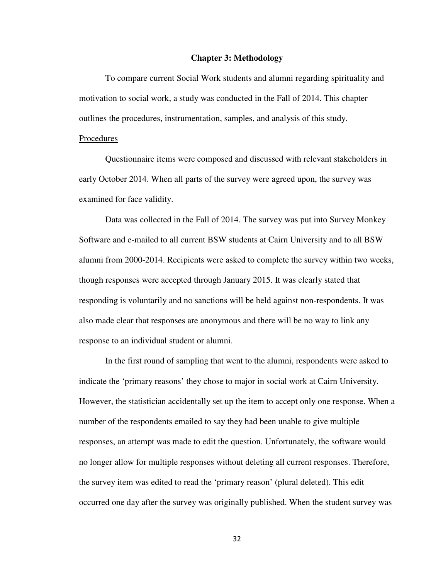#### **Chapter 3: Methodology**

 To compare current Social Work students and alumni regarding spirituality and motivation to social work, a study was conducted in the Fall of 2014. This chapter outlines the procedures, instrumentation, samples, and analysis of this study.

#### Procedures

 Questionnaire items were composed and discussed with relevant stakeholders in early October 2014. When all parts of the survey were agreed upon, the survey was examined for face validity.

Data was collected in the Fall of 2014. The survey was put into Survey Monkey Software and e-mailed to all current BSW students at Cairn University and to all BSW alumni from 2000-2014. Recipients were asked to complete the survey within two weeks, though responses were accepted through January 2015. It was clearly stated that responding is voluntarily and no sanctions will be held against non-respondents. It was also made clear that responses are anonymous and there will be no way to link any response to an individual student or alumni.

In the first round of sampling that went to the alumni, respondents were asked to indicate the 'primary reasons' they chose to major in social work at Cairn University. However, the statistician accidentally set up the item to accept only one response. When a number of the respondents emailed to say they had been unable to give multiple responses, an attempt was made to edit the question. Unfortunately, the software would no longer allow for multiple responses without deleting all current responses. Therefore, the survey item was edited to read the 'primary reason' (plural deleted). This edit occurred one day after the survey was originally published. When the student survey was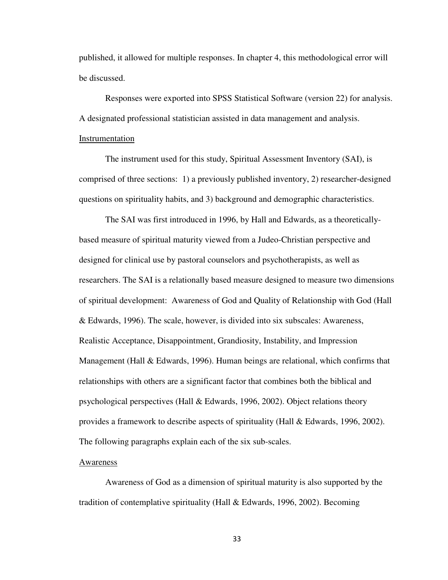published, it allowed for multiple responses. In chapter 4, this methodological error will be discussed.

Responses were exported into SPSS Statistical Software (version 22) for analysis. A designated professional statistician assisted in data management and analysis. Instrumentation

 The instrument used for this study, Spiritual Assessment Inventory (SAI), is comprised of three sections: 1) a previously published inventory, 2) researcher-designed questions on spirituality habits, and 3) background and demographic characteristics.

The SAI was first introduced in 1996, by Hall and Edwards, as a theoreticallybased measure of spiritual maturity viewed from a Judeo-Christian perspective and designed for clinical use by pastoral counselors and psychotherapists, as well as researchers. The SAI is a relationally based measure designed to measure two dimensions of spiritual development: Awareness of God and Quality of Relationship with God (Hall & Edwards, 1996). The scale, however, is divided into six subscales: Awareness, Realistic Acceptance, Disappointment, Grandiosity, Instability, and Impression Management (Hall & Edwards, 1996). Human beings are relational, which confirms that relationships with others are a significant factor that combines both the biblical and psychological perspectives (Hall  $\&$  Edwards, 1996, 2002). Object relations theory provides a framework to describe aspects of spirituality (Hall & Edwards, 1996, 2002). The following paragraphs explain each of the six sub-scales.

#### Awareness

Awareness of God as a dimension of spiritual maturity is also supported by the tradition of contemplative spirituality (Hall & Edwards, 1996, 2002). Becoming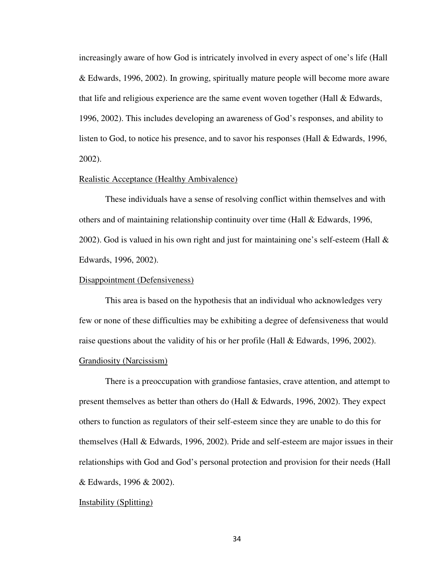increasingly aware of how God is intricately involved in every aspect of one's life (Hall & Edwards, 1996, 2002). In growing, spiritually mature people will become more aware that life and religious experience are the same event woven together (Hall  $\&$  Edwards, 1996, 2002). This includes developing an awareness of God's responses, and ability to listen to God, to notice his presence, and to savor his responses (Hall & Edwards, 1996, 2002).

#### Realistic Acceptance (Healthy Ambivalence)

These individuals have a sense of resolving conflict within themselves and with others and of maintaining relationship continuity over time (Hall & Edwards, 1996, 2002). God is valued in his own right and just for maintaining one's self-esteem (Hall  $\&$ Edwards, 1996, 2002).

#### Disappointment (Defensiveness)

This area is based on the hypothesis that an individual who acknowledges very few or none of these difficulties may be exhibiting a degree of defensiveness that would raise questions about the validity of his or her profile (Hall & Edwards, 1996, 2002). Grandiosity (Narcissism)

There is a preoccupation with grandiose fantasies, crave attention, and attempt to present themselves as better than others do (Hall & Edwards, 1996, 2002). They expect others to function as regulators of their self-esteem since they are unable to do this for themselves (Hall & Edwards, 1996, 2002). Pride and self-esteem are major issues in their relationships with God and God's personal protection and provision for their needs (Hall & Edwards, 1996 & 2002).

#### Instability (Splitting)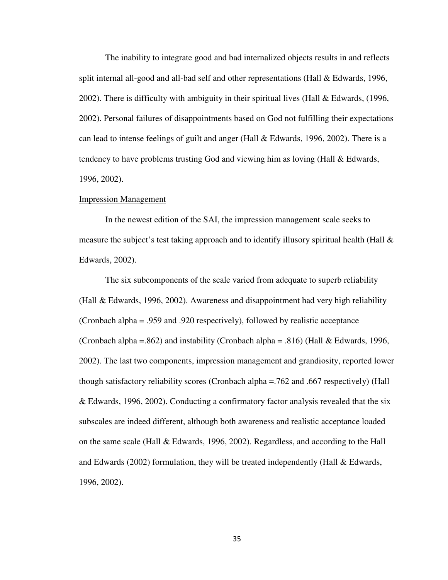The inability to integrate good and bad internalized objects results in and reflects split internal all-good and all-bad self and other representations (Hall & Edwards, 1996, 2002). There is difficulty with ambiguity in their spiritual lives (Hall  $& Edwards, (1996,$ 2002). Personal failures of disappointments based on God not fulfilling their expectations can lead to intense feelings of guilt and anger (Hall & Edwards, 1996, 2002). There is a tendency to have problems trusting God and viewing him as loving (Hall & Edwards, 1996, 2002).

#### Impression Management

In the newest edition of the SAI, the impression management scale seeks to measure the subject's test taking approach and to identify illusory spiritual health (Hall & Edwards, 2002).

The six subcomponents of the scale varied from adequate to superb reliability (Hall & Edwards, 1996, 2002). Awareness and disappointment had very high reliability (Cronbach alpha = .959 and .920 respectively), followed by realistic acceptance (Cronbach alpha =.862) and instability (Cronbach alpha = .816) (Hall & Edwards, 1996, 2002). The last two components, impression management and grandiosity, reported lower though satisfactory reliability scores (Cronbach alpha =.762 and .667 respectively) (Hall & Edwards, 1996, 2002). Conducting a confirmatory factor analysis revealed that the six subscales are indeed different, although both awareness and realistic acceptance loaded on the same scale (Hall & Edwards, 1996, 2002). Regardless, and according to the Hall and Edwards (2002) formulation, they will be treated independently (Hall  $\&$  Edwards, 1996, 2002).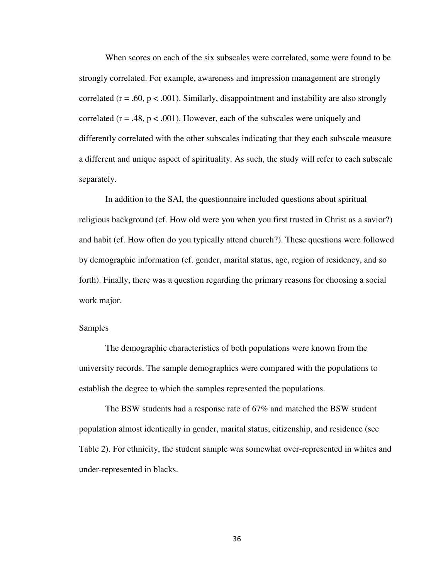When scores on each of the six subscales were correlated, some were found to be strongly correlated. For example, awareness and impression management are strongly correlated ( $r = .60$ ,  $p < .001$ ). Similarly, disappointment and instability are also strongly correlated ( $r = .48$ ,  $p < .001$ ). However, each of the subscales were uniquely and differently correlated with the other subscales indicating that they each subscale measure a different and unique aspect of spirituality. As such, the study will refer to each subscale separately.

 In addition to the SAI, the questionnaire included questions about spiritual religious background (cf. How old were you when you first trusted in Christ as a savior?) and habit (cf. How often do you typically attend church?). These questions were followed by demographic information (cf. gender, marital status, age, region of residency, and so forth). Finally, there was a question regarding the primary reasons for choosing a social work major.

### **Samples**

The demographic characteristics of both populations were known from the university records. The sample demographics were compared with the populations to establish the degree to which the samples represented the populations.

The BSW students had a response rate of 67% and matched the BSW student population almost identically in gender, marital status, citizenship, and residence (see Table 2). For ethnicity, the student sample was somewhat over-represented in whites and under-represented in blacks.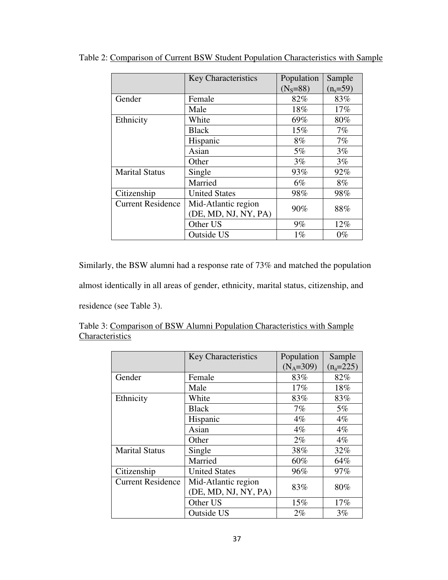|                          | <b>Key Characteristics</b>                  | Population<br>$(N_s = 88)$ | Sample<br>$(n_s = 59)$ |
|--------------------------|---------------------------------------------|----------------------------|------------------------|
| Gender                   | Female                                      | 82%                        | 83%                    |
|                          | Male                                        | 18%                        | 17%                    |
| Ethnicity                | White                                       | 69%                        | 80%                    |
|                          | <b>Black</b>                                | 15%                        | 7%                     |
|                          | Hispanic                                    | 8%                         | 7%                     |
|                          | Asian                                       | 5%                         | 3%                     |
|                          | Other                                       | 3%                         | 3%                     |
| <b>Marital Status</b>    | Single                                      | 93%                        | 92%                    |
|                          | Married                                     | $6\%$                      | 8%                     |
| Citizenship              | <b>United States</b>                        | 98%                        | 98%                    |
| <b>Current Residence</b> | Mid-Atlantic region<br>(DE, MD, NJ, NY, PA) | 90%                        | 88%                    |
|                          | Other US                                    | 9%                         | 12%                    |
|                          | <b>Outside US</b>                           | $1\%$                      | $0\%$                  |

Table 2: Comparison of Current BSW Student Population Characteristics with Sample

Similarly, the BSW alumni had a response rate of 73% and matched the population

almost identically in all areas of gender, ethnicity, marital status, citizenship, and

residence (see Table 3).

|                          | <b>Key Characteristics</b> | Population  | Sample      |
|--------------------------|----------------------------|-------------|-------------|
|                          |                            | $(N_A=309)$ | $(n_a=225)$ |
| Gender                   | Female                     | 83%         | 82%         |
|                          | Male                       | $17\%$      | 18%         |
| Ethnicity                | White                      | 83%         | 83%         |
|                          | <b>Black</b>               | 7%          | $5\%$       |
|                          | Hispanic                   | $4\%$       | $4\%$       |
|                          | Asian                      | $4\%$       | $4\%$       |
|                          | Other                      | $2\%$       | $4\%$       |
| <b>Marital Status</b>    | Single                     | 38%         | 32%         |
|                          | Married                    | 60%         | 64%         |
| Citizenship              | <b>United States</b>       | 96%         | 97%         |
| <b>Current Residence</b> | Mid-Atlantic region        | 83%         | 80%         |
|                          | (DE, MD, NJ, NY, PA)       |             |             |
|                          | Other US                   | 15%         | 17%         |
|                          | <b>Outside US</b>          | $2\%$       | 3%          |

|                 |  |  | Table 3: Comparison of BSW Alumni Population Characteristics with Sample |  |
|-----------------|--|--|--------------------------------------------------------------------------|--|
| Characteristics |  |  |                                                                          |  |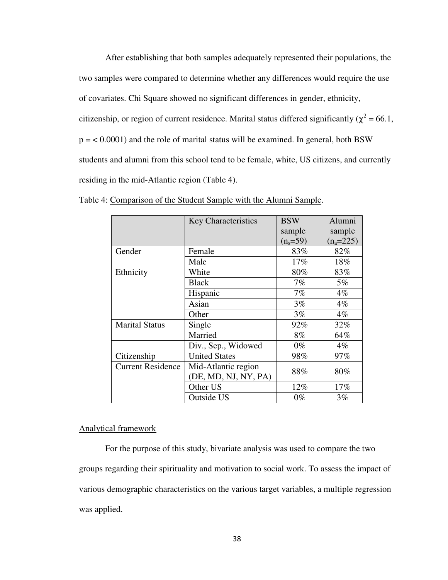After establishing that both samples adequately represented their populations, the two samples were compared to determine whether any differences would require the use of covariates. Chi Square showed no significant differences in gender, ethnicity, citizenship, or region of current residence. Marital status differed significantly ( $\chi^2$  = 66.1,  $p = < 0.0001$ ) and the role of marital status will be examined. In general, both BSW students and alumni from this school tend to be female, white, US citizens, and currently residing in the mid-Atlantic region (Table 4).

|                          | Key Characteristics  | <b>BSW</b>   | Alumni      |
|--------------------------|----------------------|--------------|-------------|
|                          |                      | sample       | sample      |
|                          |                      | $(n_s = 59)$ | $(n_a=225)$ |
| Gender                   | Female               | 83%          | 82%         |
|                          | Male                 | 17%          | 18%         |
| Ethnicity                | White                | 80%          | 83%         |
|                          | <b>Black</b>         | 7%           | $5\%$       |
|                          | Hispanic             | 7%           | $4\%$       |
|                          | Asian                | 3%           | $4\%$       |
|                          | Other                | $3\%$        | $4\%$       |
| <b>Marital Status</b>    | Single               | 92%          | 32%         |
|                          | Married              | 8%           | 64%         |
|                          | Div., Sep., Widowed  | $0\%$        | $4\%$       |
| Citizenship              | <b>United States</b> | 98%          | 97%         |
| <b>Current Residence</b> | Mid-Atlantic region  |              | 80%         |
|                          | (DE, MD, NJ, NY, PA) | 88%          |             |
|                          | Other US             | 12%          | $17\%$      |
|                          | <b>Outside US</b>    | $0\%$        | 3%          |

Table 4: Comparison of the Student Sample with the Alumni Sample.

#### Analytical framework

 For the purpose of this study, bivariate analysis was used to compare the two groups regarding their spirituality and motivation to social work. To assess the impact of various demographic characteristics on the various target variables, a multiple regression was applied.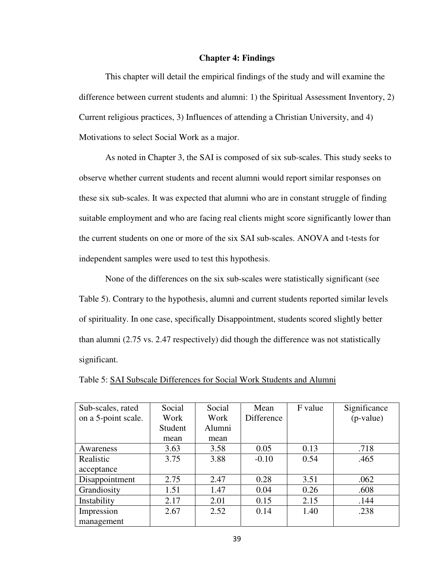#### **Chapter 4: Findings**

 This chapter will detail the empirical findings of the study and will examine the difference between current students and alumni: 1) the Spiritual Assessment Inventory, 2) Current religious practices, 3) Influences of attending a Christian University, and 4) Motivations to select Social Work as a major.

 As noted in Chapter 3, the SAI is composed of six sub-scales. This study seeks to observe whether current students and recent alumni would report similar responses on these six sub-scales. It was expected that alumni who are in constant struggle of finding suitable employment and who are facing real clients might score significantly lower than the current students on one or more of the six SAI sub-scales. ANOVA and t-tests for independent samples were used to test this hypothesis.

 None of the differences on the six sub-scales were statistically significant (see Table 5). Contrary to the hypothesis, alumni and current students reported similar levels of spirituality. In one case, specifically Disappointment, students scored slightly better than alumni (2.75 vs. 2.47 respectively) did though the difference was not statistically significant.

| Sub-scales, rated   | Social  | Social | Mean       | F value | Significance |
|---------------------|---------|--------|------------|---------|--------------|
| on a 5-point scale. | Work    | Work   | Difference |         | $(p-value)$  |
|                     | Student | Alumni |            |         |              |
|                     | mean    | mean   |            |         |              |
| Awareness           | 3.63    | 3.58   | 0.05       | 0.13    | .718         |
| Realistic           | 3.75    | 3.88   | $-0.10$    | 0.54    | .465         |
| acceptance          |         |        |            |         |              |
| Disappointment      | 2.75    | 2.47   | 0.28       | 3.51    | .062         |
| Grandiosity         | 1.51    | 1.47   | 0.04       | 0.26    | .608         |
| Instability         | 2.17    | 2.01   | 0.15       | 2.15    | .144         |
| Impression          | 2.67    | 2.52   | 0.14       | 1.40    | .238         |
| management          |         |        |            |         |              |

|--|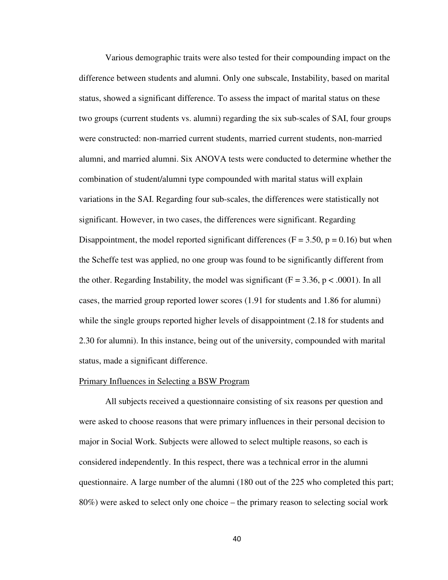Various demographic traits were also tested for their compounding impact on the difference between students and alumni. Only one subscale, Instability, based on marital status, showed a significant difference. To assess the impact of marital status on these two groups (current students vs. alumni) regarding the six sub-scales of SAI, four groups were constructed: non-married current students, married current students, non-married alumni, and married alumni. Six ANOVA tests were conducted to determine whether the combination of student/alumni type compounded with marital status will explain variations in the SAI. Regarding four sub-scales, the differences were statistically not significant. However, in two cases, the differences were significant. Regarding Disappointment, the model reported significant differences ( $F = 3.50$ ,  $p = 0.16$ ) but when the Scheffe test was applied, no one group was found to be significantly different from the other. Regarding Instability, the model was significant  $(F = 3.36, p < .0001)$ . In all cases, the married group reported lower scores (1.91 for students and 1.86 for alumni) while the single groups reported higher levels of disappointment (2.18 for students and 2.30 for alumni). In this instance, being out of the university, compounded with marital status, made a significant difference.

#### Primary Influences in Selecting a BSW Program

 All subjects received a questionnaire consisting of six reasons per question and were asked to choose reasons that were primary influences in their personal decision to major in Social Work. Subjects were allowed to select multiple reasons, so each is considered independently. In this respect, there was a technical error in the alumni questionnaire. A large number of the alumni (180 out of the 225 who completed this part; 80%) were asked to select only one choice – the primary reason to selecting social work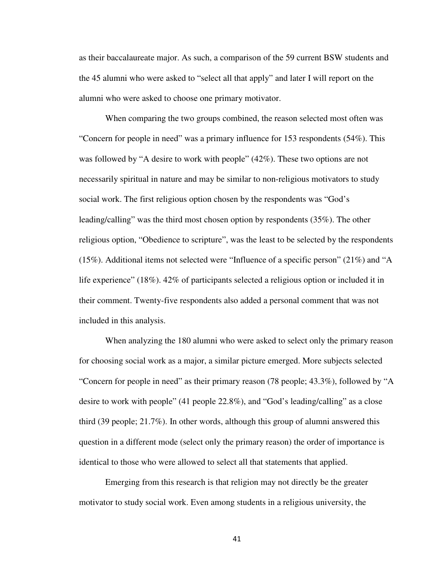as their baccalaureate major. As such, a comparison of the 59 current BSW students and the 45 alumni who were asked to "select all that apply" and later I will report on the alumni who were asked to choose one primary motivator.

When comparing the two groups combined, the reason selected most often was "Concern for people in need" was a primary influence for 153 respondents (54%). This was followed by "A desire to work with people" (42%). These two options are not necessarily spiritual in nature and may be similar to non-religious motivators to study social work. The first religious option chosen by the respondents was "God's leading/calling" was the third most chosen option by respondents (35%). The other religious option, "Obedience to scripture", was the least to be selected by the respondents (15%). Additional items not selected were "Influence of a specific person" (21%) and "A life experience" (18%). 42% of participants selected a religious option or included it in their comment. Twenty-five respondents also added a personal comment that was not included in this analysis.

When analyzing the 180 alumni who were asked to select only the primary reason for choosing social work as a major, a similar picture emerged. More subjects selected "Concern for people in need" as their primary reason (78 people; 43.3%), followed by "A desire to work with people" (41 people 22.8%), and "God's leading/calling" as a close third (39 people; 21.7%). In other words, although this group of alumni answered this question in a different mode (select only the primary reason) the order of importance is identical to those who were allowed to select all that statements that applied.

 Emerging from this research is that religion may not directly be the greater motivator to study social work. Even among students in a religious university, the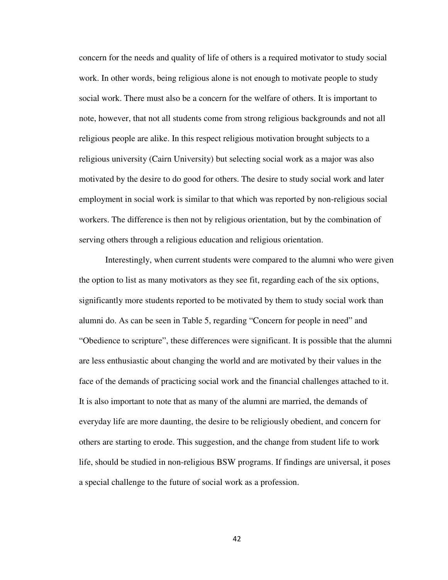concern for the needs and quality of life of others is a required motivator to study social work. In other words, being religious alone is not enough to motivate people to study social work. There must also be a concern for the welfare of others. It is important to note, however, that not all students come from strong religious backgrounds and not all religious people are alike. In this respect religious motivation brought subjects to a religious university (Cairn University) but selecting social work as a major was also motivated by the desire to do good for others. The desire to study social work and later employment in social work is similar to that which was reported by non-religious social workers. The difference is then not by religious orientation, but by the combination of serving others through a religious education and religious orientation.

 Interestingly, when current students were compared to the alumni who were given the option to list as many motivators as they see fit, regarding each of the six options, significantly more students reported to be motivated by them to study social work than alumni do. As can be seen in Table 5, regarding "Concern for people in need" and "Obedience to scripture", these differences were significant. It is possible that the alumni are less enthusiastic about changing the world and are motivated by their values in the face of the demands of practicing social work and the financial challenges attached to it. It is also important to note that as many of the alumni are married, the demands of everyday life are more daunting, the desire to be religiously obedient, and concern for others are starting to erode. This suggestion, and the change from student life to work life, should be studied in non-religious BSW programs. If findings are universal, it poses a special challenge to the future of social work as a profession.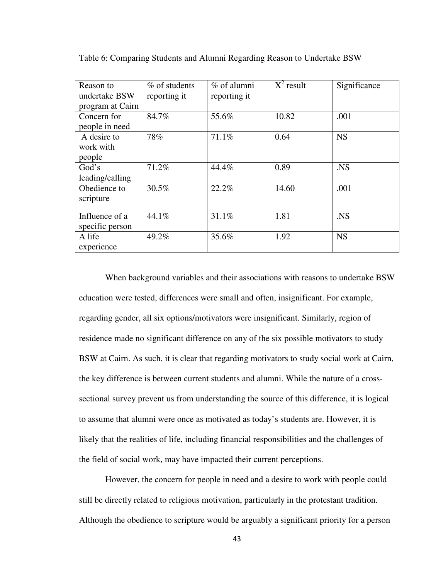| Reason to        | % of students | % of alumni  | $X^2$ result | Significance   |
|------------------|---------------|--------------|--------------|----------------|
| undertake BSW    | reporting it  | reporting it |              |                |
| program at Cairn |               |              |              |                |
| Concern for      | 84.7%         | 55.6%        | 10.82        | .001           |
| people in need   |               |              |              |                |
| A desire to      | 78%           | 71.1%        | 0.64         | <b>NS</b>      |
| work with        |               |              |              |                |
| people           |               |              |              |                |
| God's            | 71.2%         | 44.4%        | 0.89         | N <sub>S</sub> |
| leading/calling  |               |              |              |                |
| Obedience to     | 30.5%         | 22.2%        | 14.60        | .001           |
| scripture        |               |              |              |                |
|                  |               |              |              |                |
| Influence of a   | 44.1%         | 31.1%        | 1.81         | .NS            |
| specific person  |               |              |              |                |
| A life           | 49.2%         | 35.6%        | 1.92         | <b>NS</b>      |
| experience       |               |              |              |                |

Table 6: Comparing Students and Alumni Regarding Reason to Undertake BSW

 When background variables and their associations with reasons to undertake BSW education were tested, differences were small and often, insignificant. For example, regarding gender, all six options/motivators were insignificant. Similarly, region of residence made no significant difference on any of the six possible motivators to study BSW at Cairn. As such, it is clear that regarding motivators to study social work at Cairn, the key difference is between current students and alumni. While the nature of a crosssectional survey prevent us from understanding the source of this difference, it is logical to assume that alumni were once as motivated as today's students are. However, it is likely that the realities of life, including financial responsibilities and the challenges of the field of social work, may have impacted their current perceptions.

However, the concern for people in need and a desire to work with people could still be directly related to religious motivation, particularly in the protestant tradition. Although the obedience to scripture would be arguably a significant priority for a person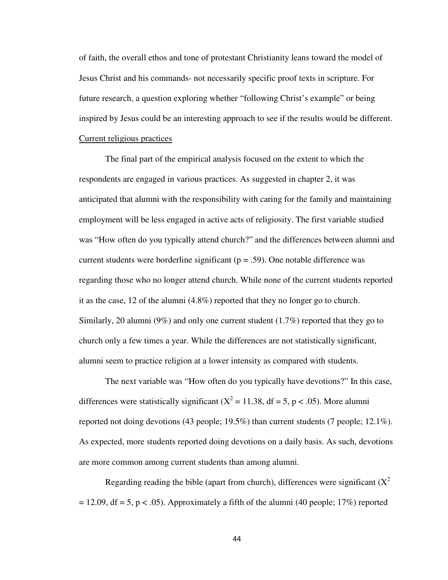of faith, the overall ethos and tone of protestant Christianity leans toward the model of Jesus Christ and his commands- not necessarily specific proof texts in scripture. For future research, a question exploring whether "following Christ's example" or being inspired by Jesus could be an interesting approach to see if the results would be different. Current religious practices

 The final part of the empirical analysis focused on the extent to which the respondents are engaged in various practices. As suggested in chapter 2, it was anticipated that alumni with the responsibility with caring for the family and maintaining employment will be less engaged in active acts of religiosity. The first variable studied was "How often do you typically attend church?" and the differences between alumni and current students were borderline significant ( $p = .59$ ). One notable difference was regarding those who no longer attend church. While none of the current students reported it as the case, 12 of the alumni (4.8%) reported that they no longer go to church. Similarly, 20 alumni (9%) and only one current student  $(1.7\%)$  reported that they go to church only a few times a year. While the differences are not statistically significant, alumni seem to practice religion at a lower intensity as compared with students.

 The next variable was "How often do you typically have devotions?" In this case, differences were statistically significant ( $X^2 = 11.38$ , df = 5, p < .05). More alumni reported not doing devotions (43 people; 19.5%) than current students (7 people; 12.1%). As expected, more students reported doing devotions on a daily basis. As such, devotions are more common among current students than among alumni.

Regarding reading the bible (apart from church), differences were significant  $(X^2)$  $= 12.09$ , df  $= 5$ , p  $< .05$ ). Approximately a fifth of the alumni (40 people; 17%) reported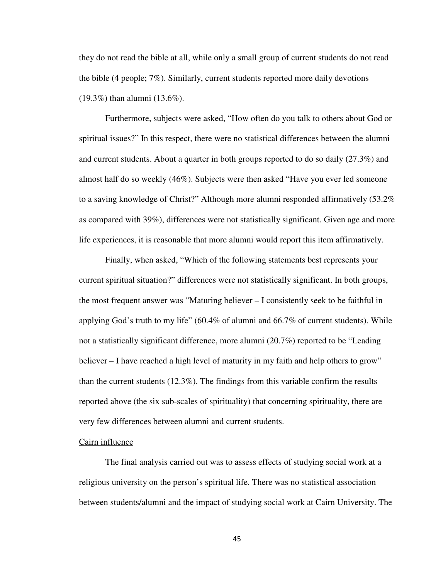they do not read the bible at all, while only a small group of current students do not read the bible (4 people; 7%). Similarly, current students reported more daily devotions (19.3%) than alumni (13.6%).

 Furthermore, subjects were asked, "How often do you talk to others about God or spiritual issues?" In this respect, there were no statistical differences between the alumni and current students. About a quarter in both groups reported to do so daily (27.3%) and almost half do so weekly (46%). Subjects were then asked "Have you ever led someone to a saving knowledge of Christ?" Although more alumni responded affirmatively (53.2% as compared with 39%), differences were not statistically significant. Given age and more life experiences, it is reasonable that more alumni would report this item affirmatively.

 Finally, when asked, "Which of the following statements best represents your current spiritual situation?" differences were not statistically significant. In both groups, the most frequent answer was "Maturing believer – I consistently seek to be faithful in applying God's truth to my life" (60.4% of alumni and 66.7% of current students). While not a statistically significant difference, more alumni (20.7%) reported to be "Leading believer – I have reached a high level of maturity in my faith and help others to grow" than the current students (12.3%). The findings from this variable confirm the results reported above (the six sub-scales of spirituality) that concerning spirituality, there are very few differences between alumni and current students.

#### Cairn influence

 The final analysis carried out was to assess effects of studying social work at a religious university on the person's spiritual life. There was no statistical association between students/alumni and the impact of studying social work at Cairn University. The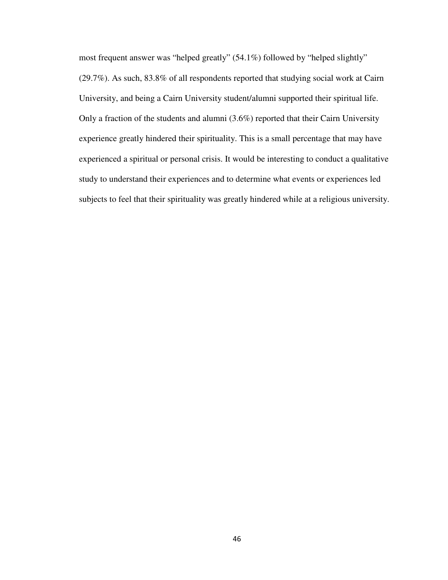most frequent answer was "helped greatly" (54.1%) followed by "helped slightly" (29.7%). As such, 83.8% of all respondents reported that studying social work at Cairn University, and being a Cairn University student/alumni supported their spiritual life. Only a fraction of the students and alumni (3.6%) reported that their Cairn University experience greatly hindered their spirituality. This is a small percentage that may have experienced a spiritual or personal crisis. It would be interesting to conduct a qualitative study to understand their experiences and to determine what events or experiences led subjects to feel that their spirituality was greatly hindered while at a religious university.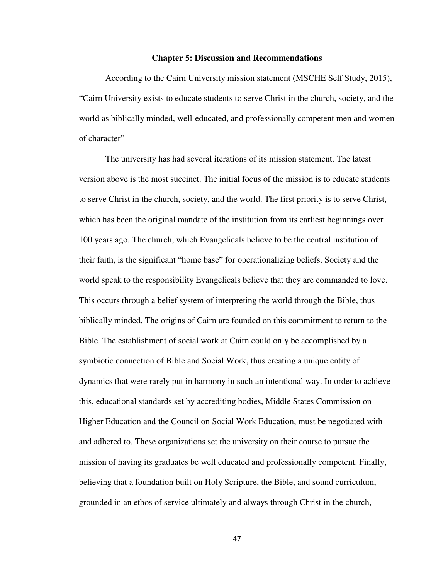#### **Chapter 5: Discussion and Recommendations**

According to the Cairn University mission statement (MSCHE Self Study, 2015), "Cairn University exists to educate students to serve Christ in the church, society, and the world as biblically minded, well-educated, and professionally competent men and women of character"

The university has had several iterations of its mission statement. The latest version above is the most succinct. The initial focus of the mission is to educate students to serve Christ in the church, society, and the world. The first priority is to serve Christ, which has been the original mandate of the institution from its earliest beginnings over 100 years ago. The church, which Evangelicals believe to be the central institution of their faith, is the significant "home base" for operationalizing beliefs. Society and the world speak to the responsibility Evangelicals believe that they are commanded to love. This occurs through a belief system of interpreting the world through the Bible, thus biblically minded. The origins of Cairn are founded on this commitment to return to the Bible. The establishment of social work at Cairn could only be accomplished by a symbiotic connection of Bible and Social Work, thus creating a unique entity of dynamics that were rarely put in harmony in such an intentional way. In order to achieve this, educational standards set by accrediting bodies, Middle States Commission on Higher Education and the Council on Social Work Education, must be negotiated with and adhered to. These organizations set the university on their course to pursue the mission of having its graduates be well educated and professionally competent. Finally, believing that a foundation built on Holy Scripture, the Bible, and sound curriculum, grounded in an ethos of service ultimately and always through Christ in the church,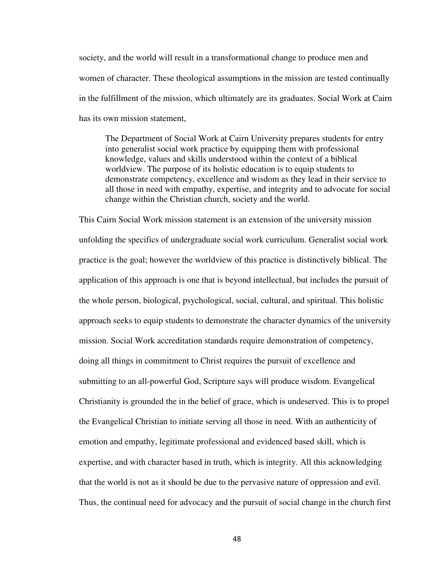society, and the world will result in a transformational change to produce men and women of character. These theological assumptions in the mission are tested continually in the fulfillment of the mission, which ultimately are its graduates. Social Work at Cairn has its own mission statement,

The Department of Social Work at Cairn University prepares students for entry into generalist social work practice by equipping them with professional knowledge, values and skills understood within the context of a biblical worldview. The purpose of its holistic education is to equip students to demonstrate competency, excellence and wisdom as they lead in their service to all those in need with empathy, expertise, and integrity and to advocate for social change within the Christian church, society and the world.

This Cairn Social Work mission statement is an extension of the university mission unfolding the specifics of undergraduate social work curriculum. Generalist social work practice is the goal; however the worldview of this practice is distinctively biblical. The application of this approach is one that is beyond intellectual, but includes the pursuit of the whole person, biological, psychological, social, cultural, and spiritual. This holistic approach seeks to equip students to demonstrate the character dynamics of the university mission. Social Work accreditation standards require demonstration of competency, doing all things in commitment to Christ requires the pursuit of excellence and submitting to an all-powerful God, Scripture says will produce wisdom. Evangelical Christianity is grounded the in the belief of grace, which is undeserved. This is to propel the Evangelical Christian to initiate serving all those in need. With an authenticity of emotion and empathy, legitimate professional and evidenced based skill, which is expertise, and with character based in truth, which is integrity. All this acknowledging that the world is not as it should be due to the pervasive nature of oppression and evil. Thus, the continual need for advocacy and the pursuit of social change in the church first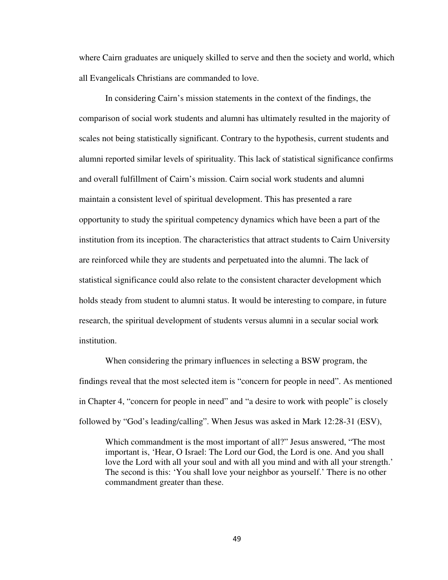where Cairn graduates are uniquely skilled to serve and then the society and world, which all Evangelicals Christians are commanded to love.

 In considering Cairn's mission statements in the context of the findings, the comparison of social work students and alumni has ultimately resulted in the majority of scales not being statistically significant. Contrary to the hypothesis, current students and alumni reported similar levels of spirituality. This lack of statistical significance confirms and overall fulfillment of Cairn's mission. Cairn social work students and alumni maintain a consistent level of spiritual development. This has presented a rare opportunity to study the spiritual competency dynamics which have been a part of the institution from its inception. The characteristics that attract students to Cairn University are reinforced while they are students and perpetuated into the alumni. The lack of statistical significance could also relate to the consistent character development which holds steady from student to alumni status. It would be interesting to compare, in future research, the spiritual development of students versus alumni in a secular social work institution.

 When considering the primary influences in selecting a BSW program, the findings reveal that the most selected item is "concern for people in need". As mentioned in Chapter 4, "concern for people in need" and "a desire to work with people" is closely followed by "God's leading/calling". When Jesus was asked in Mark 12:28-31 (ESV),

Which commandment is the most important of all?" Jesus answered, "The most important is, 'Hear, O Israel: The Lord our God, the Lord is one. And you shall love the Lord with all your soul and with all you mind and with all your strength.' The second is this: 'You shall love your neighbor as yourself.' There is no other commandment greater than these.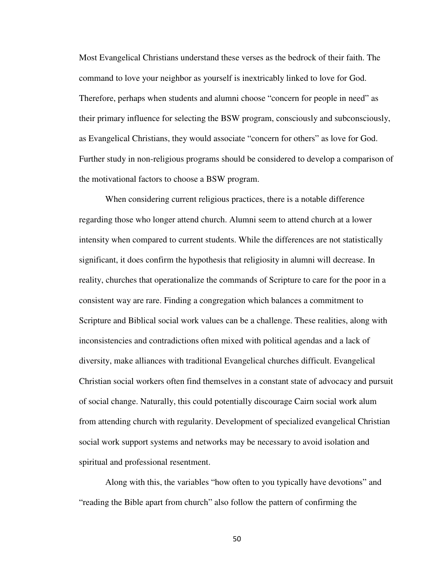Most Evangelical Christians understand these verses as the bedrock of their faith. The command to love your neighbor as yourself is inextricably linked to love for God. Therefore, perhaps when students and alumni choose "concern for people in need" as their primary influence for selecting the BSW program, consciously and subconsciously, as Evangelical Christians, they would associate "concern for others" as love for God. Further study in non-religious programs should be considered to develop a comparison of the motivational factors to choose a BSW program.

 When considering current religious practices, there is a notable difference regarding those who longer attend church. Alumni seem to attend church at a lower intensity when compared to current students. While the differences are not statistically significant, it does confirm the hypothesis that religiosity in alumni will decrease. In reality, churches that operationalize the commands of Scripture to care for the poor in a consistent way are rare. Finding a congregation which balances a commitment to Scripture and Biblical social work values can be a challenge. These realities, along with inconsistencies and contradictions often mixed with political agendas and a lack of diversity, make alliances with traditional Evangelical churches difficult. Evangelical Christian social workers often find themselves in a constant state of advocacy and pursuit of social change. Naturally, this could potentially discourage Cairn social work alum from attending church with regularity. Development of specialized evangelical Christian social work support systems and networks may be necessary to avoid isolation and spiritual and professional resentment.

 Along with this, the variables "how often to you typically have devotions" and "reading the Bible apart from church" also follow the pattern of confirming the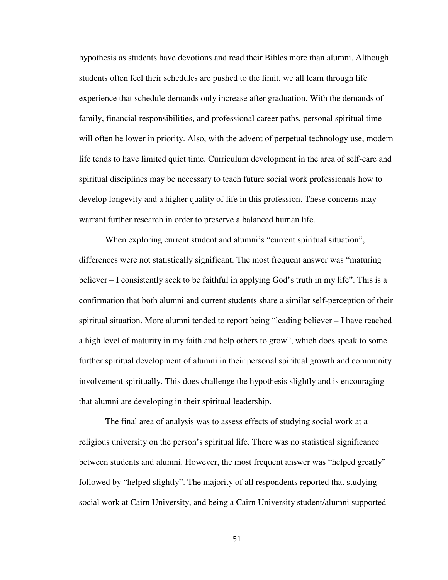hypothesis as students have devotions and read their Bibles more than alumni. Although students often feel their schedules are pushed to the limit, we all learn through life experience that schedule demands only increase after graduation. With the demands of family, financial responsibilities, and professional career paths, personal spiritual time will often be lower in priority. Also, with the advent of perpetual technology use, modern life tends to have limited quiet time. Curriculum development in the area of self-care and spiritual disciplines may be necessary to teach future social work professionals how to develop longevity and a higher quality of life in this profession. These concerns may warrant further research in order to preserve a balanced human life.

When exploring current student and alumni's "current spiritual situation", differences were not statistically significant. The most frequent answer was "maturing believer – I consistently seek to be faithful in applying God's truth in my life". This is a confirmation that both alumni and current students share a similar self-perception of their spiritual situation. More alumni tended to report being "leading believer – I have reached a high level of maturity in my faith and help others to grow", which does speak to some further spiritual development of alumni in their personal spiritual growth and community involvement spiritually. This does challenge the hypothesis slightly and is encouraging that alumni are developing in their spiritual leadership.

The final area of analysis was to assess effects of studying social work at a religious university on the person's spiritual life. There was no statistical significance between students and alumni. However, the most frequent answer was "helped greatly" followed by "helped slightly". The majority of all respondents reported that studying social work at Cairn University, and being a Cairn University student/alumni supported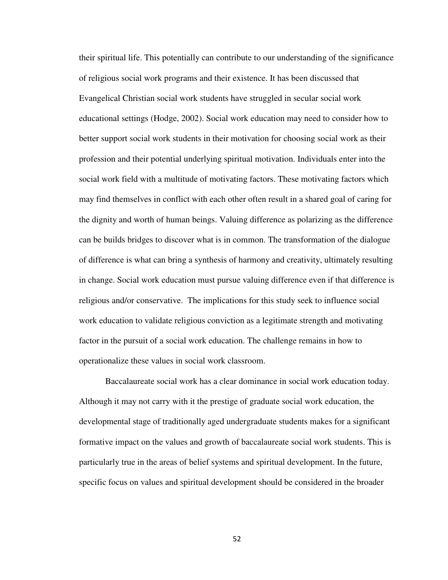their spiritual life. This potentially can contribute to our understanding of the significance of religious social work programs and their existence. It has been discussed that Evangelical Christian social work students have struggled in secular social work educational settings (Hodge, 2002). Social work education may need to consider how to better support social work students in their motivation for choosing social work as their profession and their potential underlying spiritual motivation. Individuals enter into the social work field with a multitude of motivating factors. These motivating factors which may find themselves in conflict with each other often result in a shared goal of caring for the dignity and worth of human beings. Valuing difference as polarizing as the difference can be builds bridges to discover what is in common. The transformation of the dialogue of difference is what can bring a synthesis of harmony and creativity, ultimately resulting in change. Social work education must pursue valuing difference even if that difference is religious and/or conservative. The implications for this study seek to influence social work education to validate religious conviction as a legitimate strength and motivating factor in the pursuit of a social work education. The challenge remains in how to operationalize these values in social work classroom.

Baccalaureate social work has a clear dominance in social work education today. Although it may not carry with it the prestige of graduate social work education, the developmental stage of traditionally aged undergraduate students makes for a significant formative impact on the values and growth of baccalaureate social work students. This is particularly true in the areas of belief systems and spiritual development. In the future, specific focus on values and spiritual development should be considered in the broader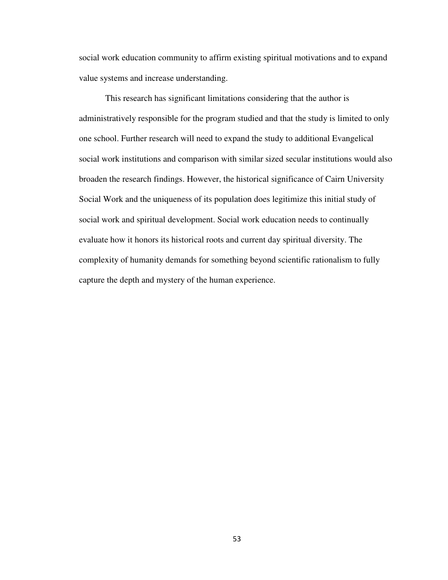social work education community to affirm existing spiritual motivations and to expand value systems and increase understanding.

 This research has significant limitations considering that the author is administratively responsible for the program studied and that the study is limited to only one school. Further research will need to expand the study to additional Evangelical social work institutions and comparison with similar sized secular institutions would also broaden the research findings. However, the historical significance of Cairn University Social Work and the uniqueness of its population does legitimize this initial study of social work and spiritual development. Social work education needs to continually evaluate how it honors its historical roots and current day spiritual diversity. The complexity of humanity demands for something beyond scientific rationalism to fully capture the depth and mystery of the human experience.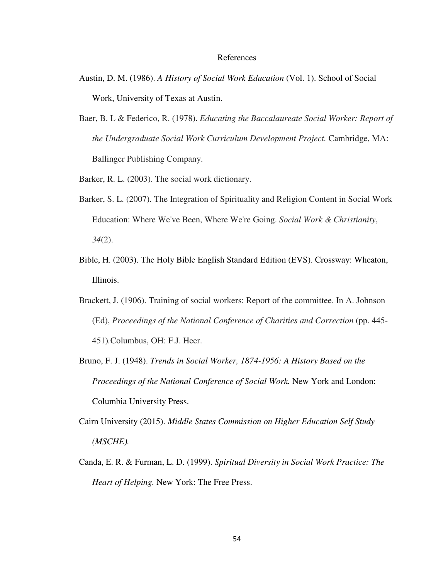#### References

- Austin, D. M. (1986). *A History of Social Work Education* (Vol. 1). School of Social Work, University of Texas at Austin.
- Baer, B. L & Federico, R. (1978). *Educating the Baccalaureate Social Worker: Report of the Undergraduate Social Work Curriculum Development Project.* Cambridge, MA: Ballinger Publishing Company.

Barker, R. L. (2003). The social work dictionary.

- Barker, S. L. (2007). The Integration of Spirituality and Religion Content in Social Work Education: Where We've Been, Where We're Going. *Social Work & Christianity*, *34*(2).
- Bible, H. (2003). The Holy Bible English Standard Edition (EVS). Crossway: Wheaton, Illinois.
- Brackett, J. (1906). Training of social workers: Report of the committee. In A. Johnson (Ed), *Proceedings of the National Conference of Charities and Correction* (pp. 445- 451)*.*Columbus, OH: F.J. Heer.
- Bruno, F. J. (1948). *Trends in Social Worker, 1874-1956: A History Based on the Proceedings of the National Conference of Social Work.* New York and London: Columbia University Press.
- Cairn University (2015). *Middle States Commission on Higher Education Self Study (MSCHE).*
- Canda, E. R. & Furman, L. D. (1999). *Spiritual Diversity in Social Work Practice: The Heart of Helping.* New York: The Free Press.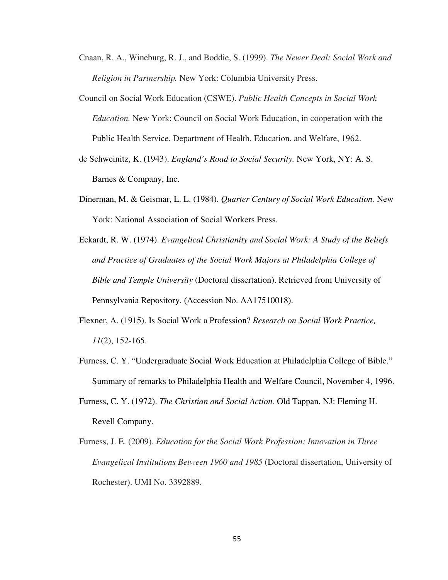- Cnaan, R. A., Wineburg, R. J., and Boddie, S. (1999). *The Newer Deal: Social Work and Religion in Partnership.* New York: Columbia University Press.
- Council on Social Work Education (CSWE). *Public Health Concepts in Social Work Education.* New York: Council on Social Work Education, in cooperation with the Public Health Service, Department of Health, Education, and Welfare, 1962.
- de Schweinitz, K. (1943). *England's Road to Social Security.* New York, NY: A. S. Barnes & Company, Inc.
- Dinerman, M. & Geismar, L. L. (1984). *Quarter Century of Social Work Education.* New York: National Association of Social Workers Press.
- Eckardt, R. W. (1974). *Evangelical Christianity and Social Work: A Study of the Beliefs and Practice of Graduates of the Social Work Majors at Philadelphia College of Bible and Temple University* (Doctoral dissertation). Retrieved from University of Pennsylvania Repository. (Accession No. AA17510018).
- Flexner, A. (1915). Is Social Work a Profession? *Research on Social Work Practice, 11*(2), 152-165.
- Furness, C. Y. "Undergraduate Social Work Education at Philadelphia College of Bible." Summary of remarks to Philadelphia Health and Welfare Council, November 4, 1996.
- Furness, C. Y. (1972). *The Christian and Social Action.* Old Tappan, NJ: Fleming H. Revell Company.
- Furness, J. E. (2009). *Education for the Social Work Profession: Innovation in Three Evangelical Institutions Between 1960 and 1985* (Doctoral dissertation, University of Rochester). UMI No. 3392889.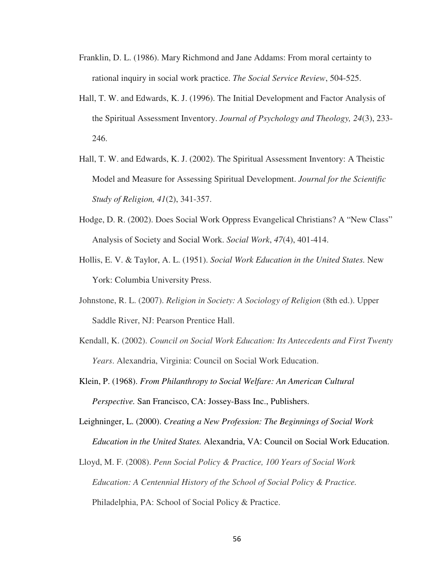- Franklin, D. L. (1986). Mary Richmond and Jane Addams: From moral certainty to rational inquiry in social work practice. *The Social Service Review*, 504-525.
- Hall, T. W. and Edwards, K. J. (1996). The Initial Development and Factor Analysis of the Spiritual Assessment Inventory. *Journal of Psychology and Theology, 24*(3), 233- 246.
- Hall, T. W. and Edwards, K. J. (2002). The Spiritual Assessment Inventory: A Theistic Model and Measure for Assessing Spiritual Development. *Journal for the Scientific Study of Religion, 41*(2), 341-357.
- Hodge, D. R. (2002). Does Social Work Oppress Evangelical Christians? A "New Class" Analysis of Society and Social Work. *Social Work*, *47*(4), 401-414.
- Hollis, E. V. & Taylor, A. L. (1951). *Social Work Education in the United States.* New York: Columbia University Press.
- Johnstone, R. L. (2007). *Religion in Society: A Sociology of Religion* (8th ed.). Upper Saddle River, NJ: Pearson Prentice Hall.
- Kendall, K. (2002). *Council on Social Work Education: Its Antecedents and First Twenty Years*. Alexandria, Virginia: Council on Social Work Education.
- Klein, P. (1968). *From Philanthropy to Social Welfare: An American Cultural Perspective.* San Francisco, CA: Jossey-Bass Inc., Publishers.
- Leighninger, L. (2000). *Creating a New Profession: The Beginnings of Social Work Education in the United States.* Alexandria, VA: Council on Social Work Education.
- Lloyd, M. F. (2008). *Penn Social Policy & Practice, 100 Years of Social Work Education: A Centennial History of the School of Social Policy & Practice.* Philadelphia, PA: School of Social Policy & Practice.